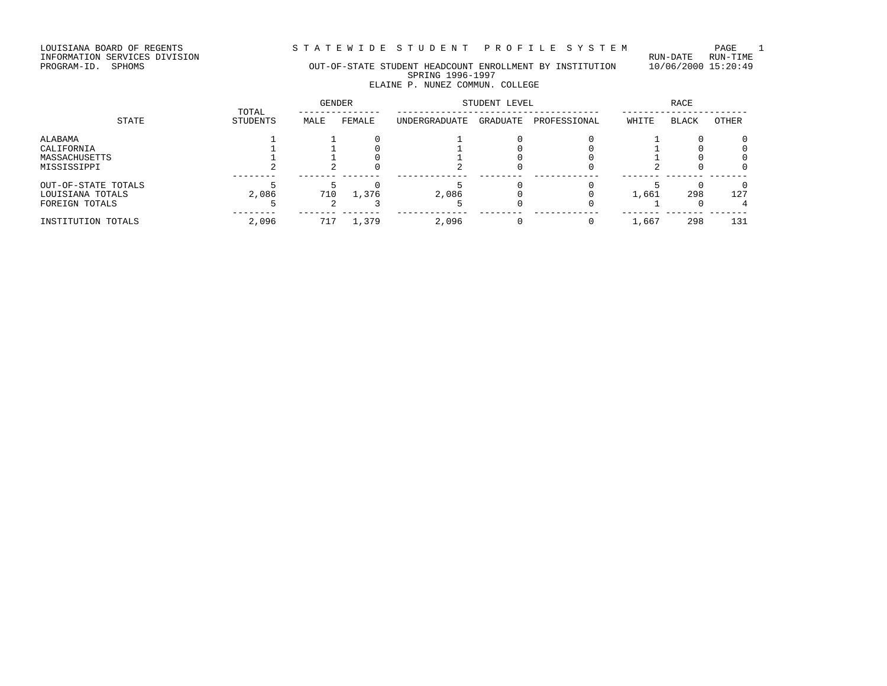STATEWIDE STUDENT PROFILE SYSTEM PAGE 1<br>RUN-DATE RUN-TIME

LOUISIANA BOARD OF REGENTS<br>INFORMATION SERVICES DIVISION<br>PROGRAM-ID. SPHOMS

### OUT-OF-STATE STUDENT HEADCOUNT ENROLLMENT BY INSTITUTION 10/06/2000 15:20:49 SPRING 1996-1997 ELAINE P. NUNEZ COMMUN. COLLEGE

|                     |                          | <b>GENDER</b> |        | STUDENT LEVEL |          | RACE         |       |              |          |
|---------------------|--------------------------|---------------|--------|---------------|----------|--------------|-------|--------------|----------|
| STATE               | TOTAL<br><b>STUDENTS</b> | MALE          | FEMALE | UNDERGRADUATE | GRADUATE | PROFESSIONAL | WHITE | <b>BLACK</b> | OTHER    |
| ALABAMA             |                          |               |        |               |          |              |       |              | 0        |
| CALIFORNIA          |                          |               |        |               |          |              |       |              | 0        |
| MASSACHUSETTS       |                          |               |        |               |          |              |       |              | 0        |
| MISSISSIPPI         |                          |               |        |               |          |              |       |              | 0        |
| OUT-OF-STATE TOTALS |                          |               |        |               |          |              |       |              | $\Omega$ |
| LOUISIANA TOTALS    | 2,086                    | 710           | 1,376  | 2,086         |          |              | 1,661 | 298          | 127      |
| FOREIGN TOTALS      |                          |               |        |               |          |              |       |              |          |
| INSTITUTION TOTALS  | 2,096                    | 717           | 1,379  | 2,096         |          |              | 1,667 | 298          | 131      |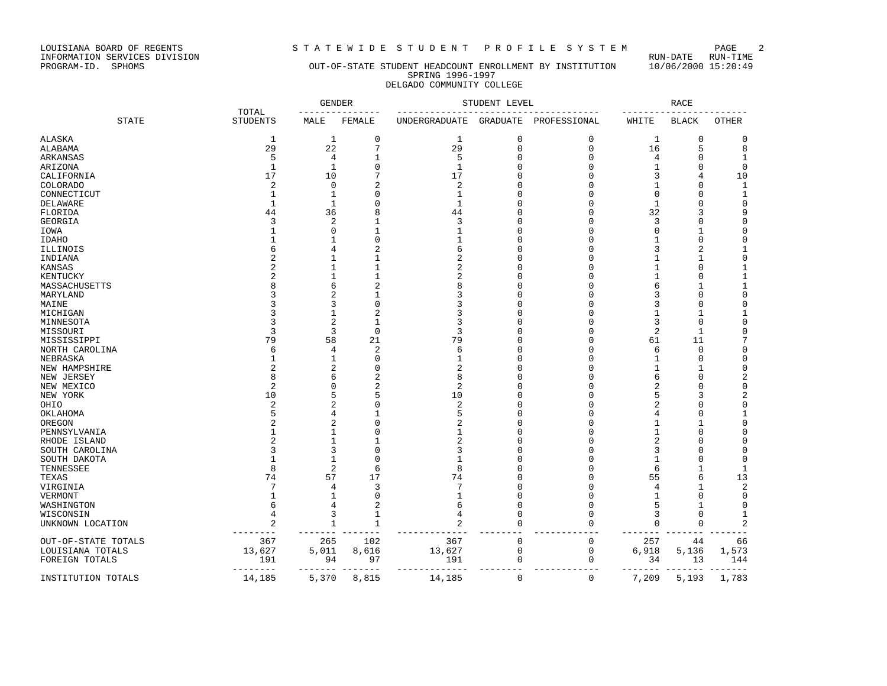LOUISIANA BOARD OF REGENTS STATEWIDE STUDENT PROFILE SYSTEM PAGE 2<br>INFORMATION SERVICES DIVISION LOUISIANA BOARD OF REGENTS<br>INFORMATION SERVICES DIVISION<br>PROGRAM-ID. SPHOMS

### OUT-OF-STATE STUDENT HEADCOUNT ENROLLMENT BY INSTITUTION 10/06/2000 15:20:49 SPRING 1996-1997 DELGADO COMMUNITY COLLEGE

|                     |                          | <b>GENDER</b>     |                | STUDENT LEVEL           |             | <b>RACE</b>  |                |                |                            |
|---------------------|--------------------------|-------------------|----------------|-------------------------|-------------|--------------|----------------|----------------|----------------------------|
| <b>STATE</b>        | TOTAL<br><b>STUDENTS</b> | MALE              | FEMALE         | UNDERGRADUATE           | GRADUATE    | PROFESSIONAL | WHITE          | <b>BLACK</b>   | <b>OTHER</b>               |
| ALASKA              | 1                        | 1                 | 0              | 1                       | $\mathbf 0$ | 0            | 1              | 0              | 0                          |
| ALABAMA             | 29                       | 22                | 7              | 29                      | $\mathbf 0$ | $\mathbf{0}$ | 16             | 5              | 8                          |
| ARKANSAS            | 5                        | 4                 |                | 5                       | O           | 0            | 4              | 0              | 1                          |
| ARIZONA             | 1                        | $\mathbf{1}$      | $\Omega$       | $\mathbf{1}$            | U           | $\Omega$     | $\mathbf{1}$   | $\Omega$       | 0                          |
| CALIFORNIA          | 17                       | 10                |                | 17                      |             | O            | 3              | 4              | 10                         |
| <b>COLORADO</b>     | 2                        | $\mathbf 0$       | 2              | 2                       |             | O            | 1              | O              | $\mathbf{1}$               |
| CONNECTICUT         | 1                        | -1                | ∩              | 1                       | U           |              | $\Omega$       | U              | $\mathbf{1}$               |
| <b>DELAWARE</b>     | $\mathbf{1}$             | 1                 | $\Omega$       | $\mathbf{1}$            |             |              | $\mathbf{1}$   | $\Omega$       | $\mathbf 0$                |
| FLORIDA             | 44                       | 36                | 8              | 44                      |             | C            | 32             | 3              | 9                          |
| GEORGIA             | 3                        | $\sqrt{2}$        |                | 3                       |             | C            | 3              | $\Omega$       | $\mathbf 0$                |
|                     |                          | $\Omega$          |                | 1                       | U           | C            | $\Omega$       | 1              | 0                          |
| IOWA                |                          |                   | $\Omega$       | 1                       |             | n            |                |                |                            |
| <b>IDAHO</b>        |                          |                   |                | 6                       | U           | n            |                | 0              | 0                          |
| ILLINOIS            | б                        | 4                 | 2              |                         |             |              | 3              | $\overline{2}$ | 1                          |
| INDIANA             |                          |                   |                | $\overline{a}$          |             | C            | 1              | $\mathbf{1}$   | $\mathbf 0$                |
| KANSAS              |                          | -1                |                | 2                       |             | n            | 1              | $\Omega$       | 1                          |
| KENTUCKY            |                          | $\mathbf{1}$      |                | $\overline{2}$          | U           | C            | 1              | $\Omega$       | $\mathbf{1}$               |
| MASSACHUSETTS       | 8                        | 6                 | $\overline{2}$ | 8                       |             | n            | 6              | 1              | $\mathbf 1$                |
| MARYLAND            |                          | 2                 | 1              | 3                       |             | n            | 3              | $\Omega$       | $\mathbf 0$                |
| MAINE               |                          | 3                 | $\Omega$       | 3                       |             |              | 3              | $\Omega$       | $\mathbf 0$                |
| MICHIGAN            | κ                        | $\mathbf{1}$      | $\overline{2}$ | 3                       | U           | n            | 1              | $\mathbf{1}$   | 1                          |
| MINNESOTA           | 3                        | 2                 |                | 3                       | Λ           | C            | 3              | $\Omega$       | $\mathbf 0$                |
| MISSOURI            | 3                        | 3                 | $\mathbf 0$    | 3                       |             |              | $\overline{2}$ | $\mathbf{1}$   | $\mathbf 0$                |
| MISSISSIPPI         | 79                       | 58                | 21             | 79                      | O           | C            | 61             | 11             | 7                          |
| NORTH CAROLINA      | 6                        | 4                 | 2              | 6                       | U           | n            | 6              | 0              | 0                          |
| NEBRASKA            | -1                       | -1                | O              | $\mathbf{1}$            | U           | n            | 1              | U              | 0                          |
| NEW HAMPSHIRE       |                          | 2                 | O              | 2                       |             | n            | -1             | 1              | 0                          |
| NEW JERSEY          | $\mathsf{R}$             | 6                 | $\overline{2}$ | 8                       | U           | C            | 6              | $\Omega$       | $\mathbf 2$                |
| NEW MEXICO          | $\overline{2}$           | C                 | 2              | 2                       |             |              | 2              | $\bigcap$      | $\mathbf 0$                |
| NEW YORK            | 10                       | 5                 | 5              | 10                      |             | C            | 5              | 3              | $\mathbf 2$                |
| OHIO                | $\overline{c}$           | $\overline{c}$    | $\Omega$       | $\overline{\mathbf{c}}$ | U           | $\Omega$     | $\overline{2}$ | $\Omega$       | $\mathsf 0$                |
| OKLAHOMA            | 5                        | 4                 |                | 5                       | Λ           | n            | 4              | U              | 1                          |
| OREGON              |                          | 2                 | O              | 2                       |             | n            | 1              | 1              | $\mathbf 0$                |
| PENNSYLVANIA        |                          | -1                | ∩              | 1                       | ∩           | n            | 1              | $\cap$         | $\Omega$                   |
| RHODE ISLAND        | 2                        | $\mathbf{1}$      |                | $\overline{2}$          | U           | O            | $\overline{2}$ | 0              | $\mathbf 0$                |
| SOUTH CAROLINA      | 3                        | 3                 | $\Omega$       | 3                       |             | C            | 3              | U              | $\mathbf 0$                |
| SOUTH DAKOTA        |                          | $\mathbf{1}$      | $\Omega$       | 1                       |             |              | $\mathbf{1}$   | $\bigcap$      | $\mathbf 0$                |
| TENNESSEE           | 8                        | 2                 | 6              | 8                       | U           | $\Omega$     | 6              | $\mathbf{1}$   | $\mathbf{1}$               |
|                     | 74                       | 57                | 17             | 74                      | U           | n            | 55             | 6              | 13                         |
| TEXAS               | 7                        |                   | 3              | 7                       | U           |              |                | $\mathbf{1}$   |                            |
| VIRGINIA            |                          | 4<br>$\mathbf{1}$ |                |                         | U           |              | 4              | $\Omega$       | $\overline{2}$<br>$\Omega$ |
| VERMONT             |                          |                   | O              | 1                       |             | O            | 1              |                |                            |
| WASHINGTON          | 6                        | 4                 |                | 6                       | 0           | 0            | 5              |                | 0                          |
| WISCONSIN           | 4                        | 3                 |                | 4                       | O           | O            | 3              | $\Omega$       | 1                          |
| UNKNOWN LOCATION    | 2                        | $\mathbf{1}$      |                | $\overline{a}$          | $\Omega$    | O            | $\mathbf 0$    | $\Omega$       | $\overline{c}$             |
| OUT-OF-STATE TOTALS | 367                      | 265               | 102            | 367                     | $\mathbf 0$ | 0            | 257            | 44             | 66                         |
| LOUISIANA TOTALS    | 13,627                   | 5,011             | 8,616          | 13,627                  | 0           | 0            | 6,918          | 5,136          | 1,573                      |
| FOREIGN TOTALS      | 191                      | 94                | 97             | 191                     | 0           | 0            | 34             | 13             | 144                        |
| INSTITUTION TOTALS  | 14,185                   | 5,370             | 8,815          | 14,185                  | $\mathbf 0$ | $\mathbf 0$  | 7,209          | 5,193          | 1,783                      |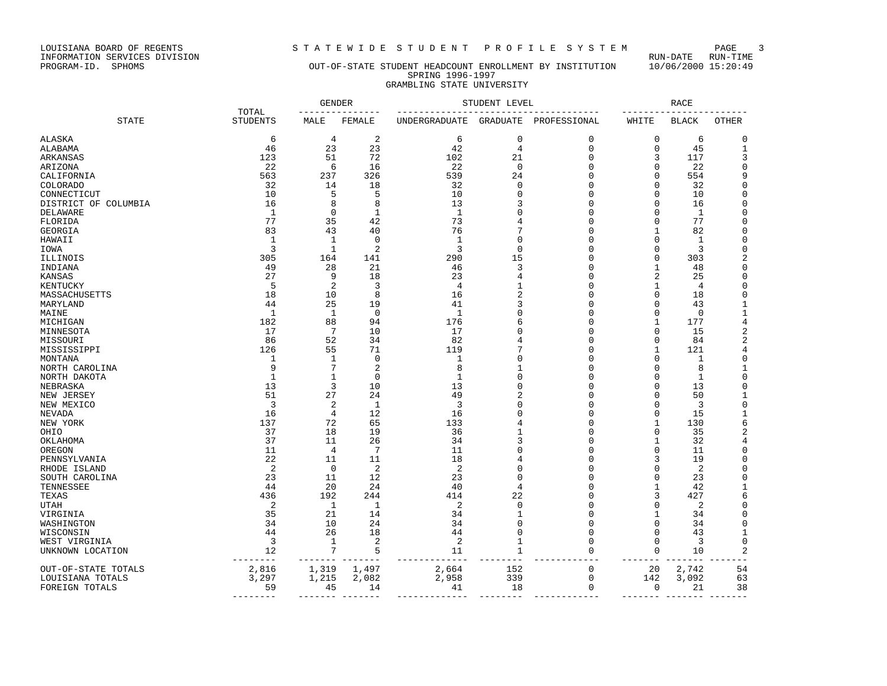LOUISIANA BOARD OF REGENTS<br>INFORMATION SERVICES DIVISION<br>PROGRAM-ID. SPHOMS

# STATEWIDE STUDENT PROFILE SYSTEM PAGE 3<br>RUN-DATE RUN-TIME

### OUT-OF-STATE STUDENT HEADCOUNT ENROLLMENT BY INSTITUTION 10/06/2000 15:20:49 SPRING 1996-1997 GRAMBLING STATE UNIVERSITY

|                      |                          |                | <b>GENDER</b>  |                | STUDENT LEVEL   |              |                | RACE         |                |
|----------------------|--------------------------|----------------|----------------|----------------|-----------------|--------------|----------------|--------------|----------------|
| <b>STATE</b>         | TOTAL<br><b>STUDENTS</b> | MALE           | FEMALE         | UNDERGRADUATE  | <b>GRADUATE</b> | PROFESSIONAL | WHITE          | <b>BLACK</b> | <b>OTHER</b>   |
| ALASKA               | 6                        | $\overline{4}$ | $\overline{2}$ | 6              | $\mathbf 0$     | $\mathbf 0$  | 0              | 6            | 0              |
| ALABAMA              | 46                       | 23             | 23             | 42             | $\overline{4}$  | $\mathbf 0$  | $\mathbf 0$    | 45           | $\mathbf{1}$   |
| ARKANSAS             | 123                      | 51             | 72             | 102            | 21              | $\mathbf 0$  | 3              | 117          | 3              |
| ARIZONA              | 22                       | 6              | 16             | 22             | $\mathbf 0$     | 0            | $\mathbf 0$    | 22           | 0              |
| CALIFORNIA           | 563                      | 237            | 326            | 539            | 24              | $\mathbf 0$  | $\Omega$       | 554          | 9              |
| <b>COLORADO</b>      | 32                       | 14             | 18             | 32             | $\mathbf 0$     | 0            | 0              | 32           | $\mathbf 0$    |
| CONNECTICUT          | 10                       | 5              | 5              | 10             |                 | $\Omega$     | $\Omega$       | 10           | $\mathbf 0$    |
| DISTRICT OF COLUMBIA | 16                       | 8              | 8              | 13             |                 | $\Omega$     | $\Omega$       | 16           | 0              |
| DELAWARE             | 1                        | $\mathbf 0$    | 1              | $\mathbf{1}$   |                 | 0            | 0              | 1            | 0              |
| FLORIDA              | 77                       | 35             | 42             | 73             |                 | $\Omega$     | 0              | 77           | 0              |
| GEORGIA              | 83                       | 43             | 40             | 76             |                 | $\Omega$     | $\mathbf{1}$   | 82           | $\Omega$       |
| HAWAII               | $\mathbf{1}$             | $\mathbf{1}$   | $\mathbf 0$    | $\mathbf{1}$   | $\Omega$        | $\Omega$     | $\mathbf 0$    | $\mathbf{1}$ | $\mathbf 0$    |
| IOWA                 | 3                        | $\mathbf{1}$   | $\overline{2}$ | 3              | $\Omega$        | $\cap$       | $\mathbf 0$    | 3            | $\mathbf 0$    |
| ILLINOIS             | 305                      | 164            | 141            | 290            | 15              | $\Omega$     | $\mathbf 0$    | 303          | $\overline{c}$ |
| INDIANA              | 49                       | 28             | 21             | 46             | 3               | $\Omega$     | $\mathbf 1$    | 48           | $\mathbf 0$    |
| KANSAS               | 27                       | 9              | 18             | 23             |                 | $\cap$       | $\overline{2}$ | 25           | 0              |
| KENTUCKY             | 5                        | 2              | 3              | $\overline{4}$ |                 | $\Omega$     | 1              | 4            | 0              |
| MASSACHUSETTS        | 18                       | 10             | 8              | 16             |                 | $\Omega$     | 0              | 18           | $\mathbf 0$    |
| MARYLAND             | 44                       | 25             | 19             | 41             |                 | $\cap$       | 0              | 43           | 1              |
| MAINE                | $\mathbf{1}$             | $\mathbf{1}$   | $\mathbf 0$    | $\mathbf{1}$   |                 | n            | 0              | 0            | $1\,$          |
| MICHIGAN             | 182                      | 88             | 94             | 176            |                 | 0            | 1              | 177          | 4              |
| MINNESOTA            | 17                       | 7              | 10             | 17             |                 | $\Omega$     | $\mathbf 0$    | 15           | 2              |
| MISSOURI             | 86                       | 52             | 34             | 82             |                 | 0            | 0              | 84           | 2              |
| MISSISSIPPI          | 126                      | 55             | 71             | 119            |                 | n            | 1              | 121          | 4              |
| MONTANA              | 1                        | 1              | $\Omega$       | 1              |                 | $\Omega$     | $\Omega$       | 1            | $\Omega$       |
| NORTH CAROLINA       | 9                        | 7              | $\overline{2}$ | 8              |                 | $\cap$       | $\mathbf 0$    | 8            | $\mathbf{1}$   |
| NORTH DAKOTA         | $\mathbf{1}$             | 1              | $\Omega$       | $\mathbf{1}$   | U               | $\cap$       | $\Omega$       | $\mathbf{1}$ | $\mathbf 0$    |
| NEBRASKA             | 13                       | $\overline{3}$ | 10             | 13             | $\Omega$        | $\Omega$     | $\mathbf 0$    | 13           | $\mathbf 0$    |
| NEW JERSEY           | 51                       | 27             | 24             | 49             |                 | $\cap$       | 0              | 50           | $\mathbf{1}$   |
| NEW MEXICO           | 3                        | $\overline{2}$ | 1              | 3              |                 | $\Omega$     | 0              | 3            | $\mathbf 0$    |
| NEVADA               | 16                       | 4              | 12             | 16             |                 | $\cap$       | $\mathbf 0$    | 15           | $\mathbf{1}$   |
| NEW YORK             | 137                      | 72             | 65             | 133            |                 | $\Omega$     | 1              | 130          | 6              |
| OHIO                 | 37                       | 18             | 19             | 36             |                 | $\Omega$     | $\mathbf 0$    | 35           | 2              |
| OKLAHOMA             | 37                       | 11             | 26             | 34             |                 | $\Omega$     | 1              | 32           | 4              |
| OREGON               | 11                       | $\overline{4}$ | 7              | 11             |                 | $\Omega$     | 0              | 11           | 0              |
| PENNSYLVANIA         | 22                       | 11             | 11             | 18             |                 | 0            | 3              | 19           | 0              |
| RHODE ISLAND         | 2                        | $\overline{0}$ | $\overline{2}$ | $\overline{2}$ |                 | $\Omega$     | 0              | 2            | $\mathbf 0$    |
| SOUTH CAROLINA       | 23                       | 11             | 12             | 23             | ∩               | n            | $\Omega$       | 23           | $\Omega$       |
| TENNESSEE            | 44                       | 20             | 24             | 40             | 4               | $\Omega$     | $\mathbf 1$    | 42           | $\mathbf{1}$   |
| TEXAS                | 436                      | 192            | 244            | 414            | 22              | $\Omega$     | 3              | 427          | 6              |
| <b>UTAH</b>          | 2                        | $\mathbf{1}$   | $\mathbf{1}$   | 2              | $\Omega$        | $\cap$       | $\Omega$       | 2            | $\mathbf 0$    |
| VIRGINIA             | 35                       | 21             | 14             | 34             | $\mathbf{1}$    | $\Omega$     | 1              | 34           | $\mathbf 0$    |
| WASHINGTON           | 34                       | 10             | 24             | 34             | $\Omega$        | $\mathbf 0$  | 0              | 34           | $\mathbf 0$    |
| WISCONSIN            | 44                       | 26             | 18             | 44             | $\Omega$        | $\mathbf 0$  | $\mathbf 0$    | 43           | 1              |
| WEST VIRGINIA        | 3                        | $\mathbf{1}$   | $\overline{2}$ | 2              | 1               | $\mathbf 0$  | $\mathbf 0$    | 3            | $\mathbf 0$    |
| UNKNOWN LOCATION     | 12                       | 7              | 5              | 11             | $\mathbf{1}$    | $\Omega$     | $\mathbf 0$    | 10           | 2              |
|                      |                          |                |                |                |                 |              | $ -$           |              |                |
| OUT-OF-STATE TOTALS  | 2,816                    | 1,319          | 1,497          | 2,664          | 152             | $\mathbf 0$  | 20             | 2,742        | 54             |
| LOUISIANA TOTALS     | 3,297                    | 1,215          | 2,082          | 2,958          | 339             | $\mathbf 0$  | 142            | 3,092        | 63             |
| FOREIGN TOTALS       | 59                       | 45             | 14             | 41             | 18              | $\mathbf 0$  | $\mathbf 0$    | 21           | 38             |
|                      |                          |                |                |                |                 |              |                |              |                |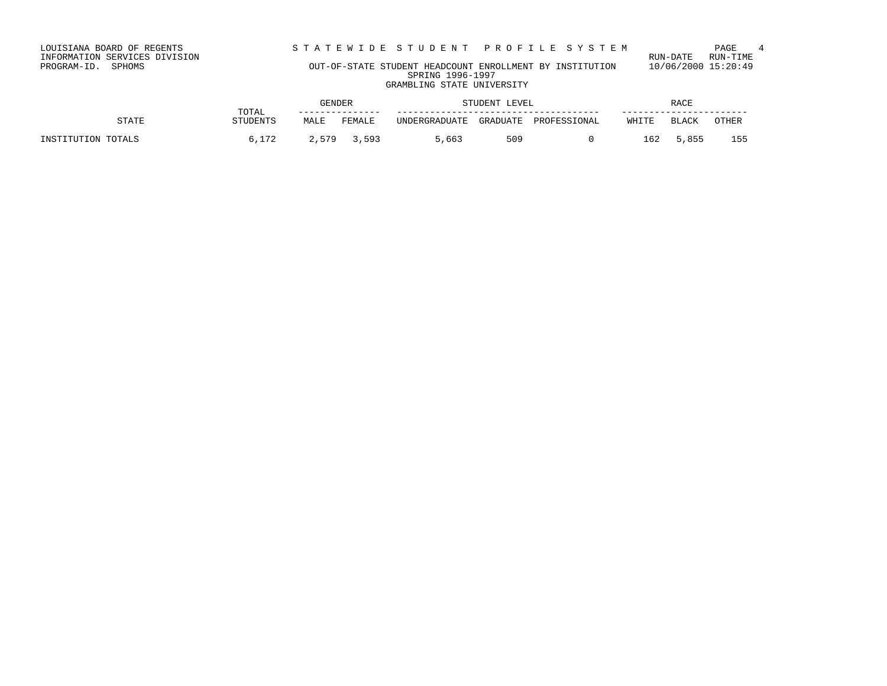STATEWIDE STUDENT PROFILE SYSTEM PAGE 4<br>RUN-DATE RUN-TIME

LOUISIANA BOARD OF REGENTS<br>INFORMATION SERVICES DIVISION<br>PROGRAM-ID. SPHOMS

### OUT-OF-STATE STUDENT HEADCOUNT ENROLLMENT BY INSTITUTION 10/06/2000 15:20:49 SPRING 1996-1997 GRAMBLING STATE UNIVERSITY

|                    |                   | GENDER |             | STUDENT LEVEL |          | RACE         |       |       |       |
|--------------------|-------------------|--------|-------------|---------------|----------|--------------|-------|-------|-------|
| STATE              | TOTAL<br>STUDENTS | MALE   | FEMALE      | UNDERGRADUATE | GRADUATE | PROFESSIONAL | WHITE | BLACK | OTHER |
| INSTITUTION TOTALS | 6,172             |        | 2,579 3,593 | 5,663         | 509      |              | 162   | 5,855 | 155   |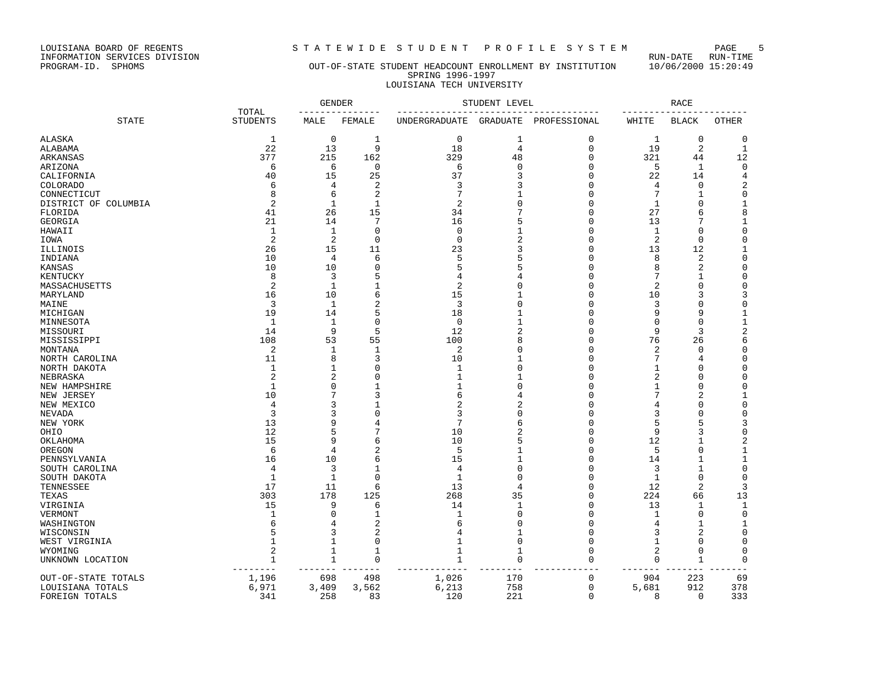LOUISIANA BOARD OF REGENTS STA TEWIDE STUDENT PROFILE SYSTEM PAGE 5<br>INFORMATION SERVICES DIVISION LOUISIANA BOARD OF REGENTS<br>INFORMATION SERVICES DIVISION<br>PROGRAM-ID. SPHOMS

### OUT-OF-STATE STUDENT HEADCOUNT ENROLLMENT BY INSTITUTION 10/06/2000 15:20:49 SPRING 1996-1997 LOUISIANA TECH UNIVERSITY

|                      |                          | <b>GENDER</b>        |                        |                | STUDENT LEVEL  |              |                | <b>RACE</b>  |              |
|----------------------|--------------------------|----------------------|------------------------|----------------|----------------|--------------|----------------|--------------|--------------|
| <b>STATE</b>         | TOTAL<br><b>STUDENTS</b> | MALE                 | FEMALE                 | UNDERGRADUATE  | GRADUATE       | PROFESSIONAL | WHITE          | <b>BLACK</b> | <b>OTHER</b> |
| <b>ALASKA</b>        | $\mathbf{1}$             | $\mathbf 0$          | 1                      | $\mathbf 0$    | 1              | 0            | 1              | $\mathbf 0$  | 0            |
| ALABAMA              | 22                       | 13                   | 9                      | 18             | $\overline{4}$ | 0            | 19             | 2            | $\mathbf{1}$ |
| ARKANSAS             | 377                      | 215                  | 162                    | 329            | 48             | 0            | 321            | 44           | 12           |
| ARIZONA              | 6                        | 6                    | $\mathbf 0$            | 6              | $\Omega$       | 0            | 5              | 1            | $\mathbf 0$  |
| CALIFORNIA           | 40                       | 15                   | 25                     | 37             | 3              | $\Omega$     | 22             | 14           | 4            |
| <b>COLORADO</b>      | 6                        | 4                    | $\overline{c}$         | 3              | 3              | 0            | 4              | $\mathbf 0$  | 2            |
| CONNECTICUT          | 8                        | 6                    | $\overline{2}$         | 7              | $\mathbf{1}$   | 0            | 7              | 1            | $\mathsf 0$  |
| DISTRICT OF COLUMBIA | 2                        | $\mathbf{1}$         | $\mathbf{1}$           | $\overline{c}$ | $\Omega$       | $\Omega$     | 1              | $\Omega$     | $\mathbf{1}$ |
| FLORIDA              | 41                       | 26                   | 15                     | 34             | 7              | $\Omega$     | 27             | 6            | 8            |
| GEORGIA              | 21                       | 14                   | 7                      | 16             | 5              | 0            | 13             | 7            | $\mathbf{1}$ |
| HAWAII               | 1                        | 1                    | $\mathbf 0$            | $\Omega$       | 1              | $\Omega$     | 1              | $\Omega$     | $\mathsf 0$  |
| IOWA                 | $\overline{2}$           | 2                    | $\mathbf 0$            | $\mathbf 0$    | $\overline{2}$ | 0            | 2              | $\mathbf 0$  | $\mathsf 0$  |
| ILLINOIS             | 26                       | 15                   | 11                     | 23             | 3              | $\Omega$     | 13             | 12           | 1            |
| INDIANA              | 10                       | 4                    | 6                      | 5              | 5              | 0            | 8              | 2            | $\mathsf 0$  |
| KANSAS               | 10                       | 10                   | $\mathbf 0$            | 5              | 5              | $\Omega$     | 8              | 2            | $\mathsf 0$  |
| KENTUCKY             | 8                        | 3                    | 5                      | 4              |                | $\Omega$     | 7              | 1            | $\mathsf 0$  |
| MASSACHUSETTS        | 2                        | $\mathbf{1}$         | $\mathbf{1}$           | $\overline{2}$ | $\Omega$       | 0            | 2              | 0            | 0            |
| MARYLAND             | 16                       | 10                   | 6                      | 15             | 1              | 0            | 10             | 3            | 3            |
| MAINE                | 3                        | 1                    | $\overline{c}$         | 3              | $\Omega$       | $\Omega$     | 3              | 0            | $\mathsf 0$  |
| MICHIGAN             | 19                       | 14                   | 5                      | 18             | 1              | $\Omega$     | 9              | 9            | 1            |
| MINNESOTA            | 1                        | 1                    | 0                      | 0              | 1              | 0            | 0              | 0            | $\mathbf{1}$ |
| MISSOURI             | 14                       | 9                    | 5                      | 12             | $\overline{2}$ | $\Omega$     | 9              | 3            | $\sqrt{2}$   |
| MISSISSIPPI          | 108                      | 53                   | 55                     | 100            | 8              | 0            | 76             | 26           | 6            |
| MONTANA              | 2                        | 1                    | 1                      | 2              | $\cap$         | $\Omega$     | 2              | n            | $\mathbf 0$  |
| NORTH CAROLINA       | 11                       | 8                    | 3                      | 10             | 1              | 0            | 7              | 4            | $\mathsf 0$  |
| NORTH DAKOTA         | $\mathbf{1}$             | $\mathbf{1}$         | $\Omega$               | $\mathbf{1}$   | $\Omega$       | $\Omega$     | 1              | $\Omega$     | $\mathbf 0$  |
| NEBRASKA             | $\overline{2}$           | $\overline{2}$       | $\Omega$               | 1              | 1              | $\Omega$     | $\overline{2}$ | Ω            | $\mathbf 0$  |
| NEW HAMPSHIRE        | $\mathbf{1}$             | $\Omega$             | $\mathbf{1}$           | $\mathbf{1}$   | $\Omega$       | $\Omega$     | 1              | $\Omega$     | $\mathbf 0$  |
| NEW JERSEY           | 10                       | 7                    | 3                      | 6              | 4              | $\Omega$     | 7              | 2            | $\mathbf{1}$ |
| NEW MEXICO           | 4                        | 3                    | $\mathbf{1}$           | $\overline{c}$ | 2              | $\Omega$     | 4              | $\Omega$     | $\mathbf 0$  |
| NEVADA               | 3                        | 3                    | $\mathbf 0$            | 3              | $\cap$         | $\Omega$     | 3              | $\Omega$     | $\mathsf 0$  |
| NEW YORK             | 13                       | 9                    | 4                      | 7              | 6              | $\Omega$     | 5              | 5            | 3            |
| OHIO                 | 12                       | 5                    | 7                      | 10             | $\overline{2}$ | $\Omega$     | 9              | 3            | $\mathsf 0$  |
| OKLAHOMA             | 15                       | 9                    | 6                      | 10             | 5              | $\Omega$     | 12             | 1            | $\sqrt{2}$   |
| OREGON               | 6                        | $\overline{4}$       | $\overline{c}$         | 5              | 1              | $\Omega$     | 5              | $\Omega$     | 1            |
| PENNSYLVANIA         | 16                       | 10                   | 6                      | 15             | 1              | $\Omega$     | 14             | 1            | 1            |
| SOUTH CAROLINA       | 4                        | 3                    | $\mathbf{1}$           | $\overline{4}$ | $\Omega$       | $\Omega$     | 3              | 1            | $\mathsf 0$  |
| SOUTH DAKOTA         | $\mathbf{1}$             | $\mathbf 1$          | $\mathbf 0$            | 1              | $\Omega$       | $\Omega$     | $\mathbf 1$    | $\Omega$     | $\mathbf 0$  |
| TENNESSEE            | 17                       | 11                   | 6                      | 13             | 4              | 0            | 12             | 2            | 3            |
| TEXAS                | 303                      | 178                  | 125                    | 268            | 35             | 0            | 224            | 66           | 13           |
| VIRGINIA             | 15                       | 9                    | 6                      | 14             | $\mathbf{1}$   | 0            | 13             | 1            | $\mathbf{1}$ |
| VERMONT              | 1                        | $\Omega$             | 1                      | 1              | $\mathbf 0$    | $\Omega$     | 1              | $\Omega$     | $\mathsf 0$  |
| WASHINGTON           | 6                        | 4                    | $\overline{c}$         | 6              | 0              | 0            | 4              | 1            | 1            |
| WISCONSIN            |                          | 3                    | $\overline{c}$         | 4              | $\mathbf{1}$   | $\Omega$     | 3              | 2            | $\mathsf 0$  |
| WEST VIRGINIA        | 1                        | 1                    | 0                      | $\mathbf{1}$   | $\mathbf 0$    | 0            |                | 0            | $\mathsf 0$  |
| WYOMING              | 2                        | 1                    | 1                      | $\mathbf{1}$   | $\mathbf{1}$   | 0            | 2              | $\Omega$     | 0            |
| UNKNOWN LOCATION     | 1                        | $\mathbf 1$<br>$- -$ | $\mathbf 0$<br>$- - -$ | 1              | 0              | 0            | 0<br>$ -$      | 1            | $\mathbf 0$  |
| OUT-OF-STATE TOTALS  | 1,196                    | 698                  | 498                    | 1,026          | 170            | 0            | 904            | 223          | 69           |
| LOUISIANA TOTALS     | 6,971                    | 3,409                | 3,562                  | 6,213          | 758            | 0            | 5,681          | 912          | 378          |
| FOREIGN TOTALS       | 341                      | 258                  | 83                     | 120            | 221            | $\mathbf 0$  | 8              | $\mathbf 0$  | 333          |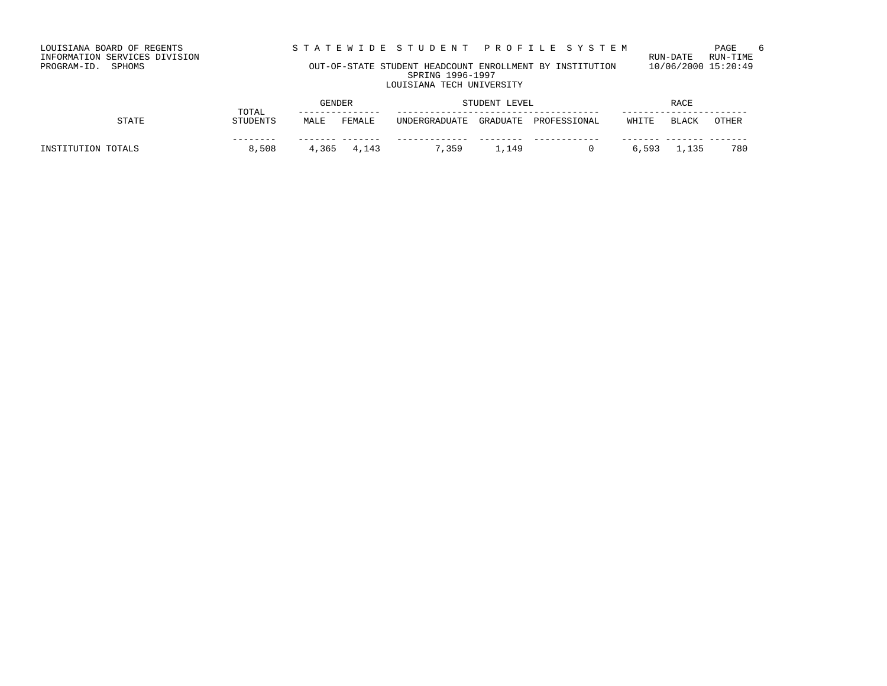LOUISIANA BOARD OF REGENTS STA TEWIDE STUDENT PROFILE SYSTEM PAGE 6<br>INFORMATION SERVICES DIVISION LOUISIANA BOARD OF REGENTS<br>INFORMATION SERVICES DIVISION<br>PROGRAM-ID. SPHOMS

### OUT-OF-STATE STUDENT HEADCOUNT ENROLLMENT BY INSTITUTION 10/06/2000 15:20:49 SPRING 1996-1997 LOUISIANA TECH UNIVERSITY

|                    | TOTAL           | <b>GENDER</b> |             | STUDENT LEVEL |          | RACE         |       |       |       |
|--------------------|-----------------|---------------|-------------|---------------|----------|--------------|-------|-------|-------|
| STATE              | <b>STUDENTS</b> | MALE          | FEMALE      | UNDERGRADUATE | GRADUATE | PROFESSIONAL | WHITE | BLACK | OTHER |
| INSTITUTION TOTALS | ------<br>8,508 |               | 4,365 4,143 | 7,359         | 1,149    |              | 6,593 | 1,135 | 780   |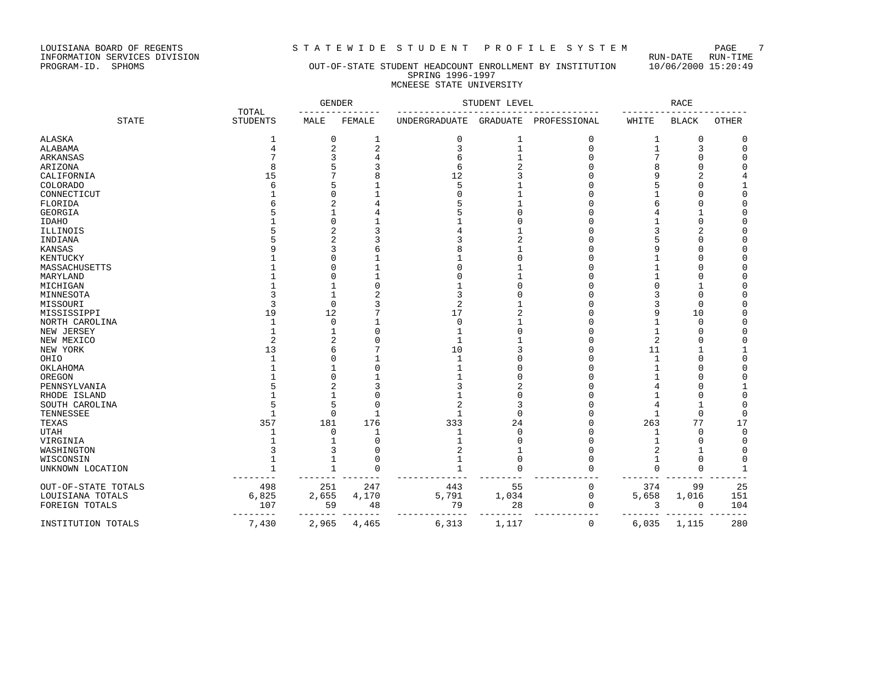LOUISIANA BOARD OF REGENTS STRITE WIDE STUDENT PROFILE SYSTEM PAGE 7<br>INFORMATION SERVICES DIVISION INFORMATION SERVICES DIVISION<br>PROGRAM-ID. SPHOMS

### OUT-OF-STATE STUDENT HEADCOUNT ENROLLMENT BY INSTITUTION 10/06/2000 15:20:49 SPRING 1996-1997 MCNEESE STATE UNIVERSITY

|                     |                          | <b>GENDER</b>  |              |                | STUDENT LEVEL |              |                | <b>RACE</b>  |              |
|---------------------|--------------------------|----------------|--------------|----------------|---------------|--------------|----------------|--------------|--------------|
| <b>STATE</b>        | TOTAL<br><b>STUDENTS</b> | MALE           | FEMALE       | UNDERGRADUATE  | GRADUATE      | PROFESSIONAL | WHITE          | <b>BLACK</b> | <b>OTHER</b> |
| ALASKA              |                          | $\mathbf 0$    | 1            | 0              | 1             | $\Omega$     | 1              | $\Omega$     | 0            |
| ALABAMA             |                          | $\overline{2}$ | 2            | 3              |               | $\Omega$     | 1              | 3            | 0            |
| ARKANSAS            |                          |                |              | 6              |               | O            |                | U            | $\Omega$     |
| ARIZONA             |                          |                |              | 6              |               |              |                | U            | $\Omega$     |
| CALIFORNIA          | 15                       |                |              | 12             |               |              |                |              |              |
| <b>COLORADO</b>     |                          |                |              | 5              |               |              |                | O            |              |
| CONNECTICUT         |                          |                |              | O              |               |              |                | U            | $\Omega$     |
| FLORIDA             |                          |                |              |                |               |              |                | O            | $\Omega$     |
| <b>GEORGIA</b>      |                          |                |              |                |               |              |                | 1            | $\Omega$     |
| IDAHO               |                          |                |              |                |               |              |                | U            | O            |
| ILLINOIS            |                          |                |              | 4              |               |              |                |              |              |
| INDIANA             |                          | 2              |              |                |               |              |                | O            | $\Omega$     |
| KANSAS              |                          | 3              |              | 8              |               |              | 9              | O            | 0            |
| KENTUCKY            |                          | $\bigcap$      |              |                |               |              |                | O            | $\Omega$     |
| MASSACHUSETTS       |                          |                |              | 0              |               |              |                | U            | $\Omega$     |
| MARYLAND            |                          |                | $\mathbf{1}$ | O              |               |              |                | Ω            | $\Omega$     |
| MICHIGAN            |                          |                |              |                |               |              |                | 1            | $\Omega$     |
| MINNESOTA           |                          |                |              | 3              |               |              |                | $\Omega$     | $\Omega$     |
| MISSOURI            |                          | $\Omega$       |              | 2              |               |              | 3              | $\Omega$     | $\Omega$     |
| MISSISSIPPI         | 19                       | 12             |              | 17             |               |              | 9              | 10           | $\Omega$     |
| NORTH CAROLINA      |                          | $\mathbf 0$    |              | 0              |               |              |                | $\Omega$     | $\mathbf 0$  |
| NEW JERSEY          |                          |                | $\Omega$     | 1              |               |              |                | Ω            | $\Omega$     |
| NEW MEXICO          | 2                        |                |              | $\mathbf 1$    |               |              | $\overline{c}$ | 0            | $\Omega$     |
| NEW YORK            | 13                       | 6              |              | 10             |               |              | 11             | 1            |              |
| OHIO                |                          | $\Omega$       |              | 1              |               |              | 1              | 0            | $\Omega$     |
| OKLAHOMA            |                          |                | $\Omega$     | $\mathbf{1}$   |               |              | -1             | U            | $\Omega$     |
| OREGON              |                          | $\cap$         |              |                |               |              |                | U            | $\Omega$     |
| PENNSYLVANIA        |                          |                |              | 3              |               |              |                | Ω            |              |
| RHODE ISLAND        |                          |                | $\Omega$     | 1              |               |              |                | U            | $\Omega$     |
| SOUTH CAROLINA      |                          | 5              | $\Omega$     | $\overline{a}$ |               |              | 4              | 1            | $\Omega$     |
| TENNESSEE           |                          | $\mathbf 0$    | $\mathbf{1}$ | 1              | U             |              | 1              | 0            | $\mathbf 0$  |
| TEXAS               | 357                      | 181            | 176          | 333            | 24            | U            | 263            | 77           | 17           |
| UTAH                |                          | $\Omega$       | $\mathbf{1}$ | 1              | $\Omega$      |              | 1              | $\Omega$     | $\Omega$     |
| VIRGINIA            |                          |                | $\Omega$     |                |               |              | -1             | O            | 0            |
| WASHINGTON          |                          |                | $\Omega$     | 2              |               |              | 2              | 1            | $\Omega$     |
| WISCONSIN           |                          |                | $\Omega$     |                | U             |              |                | $\Omega$     | 0            |
| UNKNOWN LOCATION    |                          | $\mathbf{1}$   | $\Omega$     |                | O             |              | $\Omega$       | $\Omega$     | 1            |
| OUT-OF-STATE TOTALS | 498                      | 251            | 247          | 443            | 55            | 0            | 374            | 99           | 25           |
| LOUISIANA TOTALS    | 6,825                    | 2,655          | 4,170        | 5,791          | 1,034         | 0            | 5,658          | 1,016        | 151          |
| FOREIGN TOTALS      | 107                      | 59             | 48           | 79             | 28            | 0            | 3              | 0            | 104          |
| INSTITUTION TOTALS  | 7,430                    | $---$<br>2,965 | 4,465        | 6,313          | 1,117         | 0            | 6,035          | 1,115        | 280          |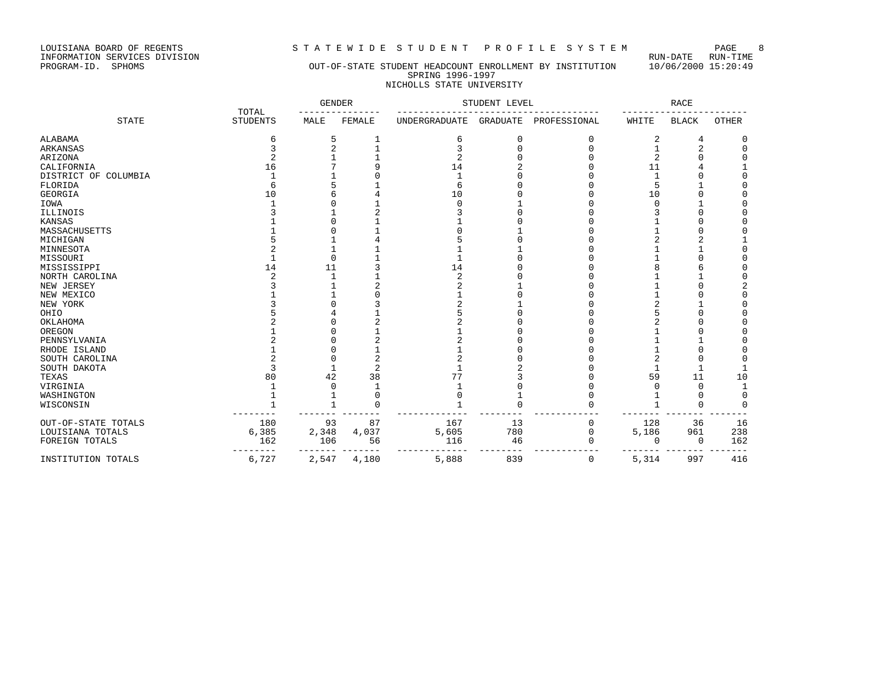LOUISIANA BOARD OF REGENTS STRITEWIDE STUDENT PROFILE SYSTEM PAGE 8<br>INFORMATION SERVICES DIVISION LOUISIANA BOARD OF REGENTS<br>INFORMATION SERVICES DIVISION<br>PROGRAM-ID. SPHOMS

### OUT-OF-STATE STUDENT HEADCOUNT ENROLLMENT BY INSTITUTION 10/06/2000 15:20:49 SPRING 1996-1997 NICHOLLS STATE UNIVERSITY

|                      | TOTAL           | <b>GENDER</b> |          |                      | STUDENT LEVEL   |              |          | <b>RACE</b>  |              |
|----------------------|-----------------|---------------|----------|----------------------|-----------------|--------------|----------|--------------|--------------|
| <b>STATE</b>         | <b>STUDENTS</b> | MALE          | FEMALE   | <b>UNDERGRADUATE</b> | <b>GRADUATE</b> | PROFESSIONAL | WHITE    | <b>BLACK</b> | OTHER        |
| ALABAMA              | 6               | 5             |          | 6                    | 0               | 0            | 2        | 4            | 0            |
| ARKANSAS             |                 |               |          | ζ                    |                 | U            |          | 2            | $\Omega$     |
| ARIZONA              | 2               |               |          | 2                    |                 |              |          | Ω            |              |
| CALIFORNIA           | 16              |               |          | 14                   |                 |              | 11       |              |              |
| DISTRICT OF COLUMBIA |                 |               |          | 1                    |                 |              |          |              |              |
| FLORIDA              |                 |               |          | 6                    |                 | Λ            |          |              |              |
| <b>GEORGIA</b>       | 10              |               |          | 10                   |                 |              | 10       |              |              |
| IOWA                 |                 |               |          | $\cap$               |                 |              |          |              |              |
| ILLINOIS             |                 |               |          |                      |                 |              |          |              |              |
| KANSAS               |                 |               |          |                      |                 |              |          |              |              |
| MASSACHUSETTS        |                 |               |          |                      |                 |              |          |              |              |
| MICHIGAN             |                 |               |          |                      |                 |              |          | 2            |              |
| MINNESOTA            |                 |               |          |                      |                 |              |          |              | $\Omega$     |
| MISSOURI             |                 | $\Omega$      |          |                      |                 |              |          |              |              |
| MISSISSIPPI          | 14              | 11            |          | 14                   |                 |              |          |              | ∩            |
| NORTH CAROLINA       |                 |               |          | $\overline{c}$       |                 |              |          |              | $\Omega$     |
| NEW JERSEY           |                 |               |          |                      |                 |              |          |              |              |
| NEW MEXICO           |                 |               |          |                      |                 |              |          |              | $\Omega$     |
| NEW YORK             |                 |               |          |                      |                 |              |          |              |              |
| OHIO                 |                 |               |          |                      |                 |              |          |              |              |
| OKLAHOMA             |                 |               |          |                      |                 |              |          |              |              |
| OREGON               |                 |               |          |                      |                 |              |          |              | ∩            |
| PENNSYLVANIA         |                 |               |          |                      |                 |              |          |              |              |
| RHODE ISLAND         |                 |               |          |                      |                 |              |          |              |              |
| SOUTH CAROLINA       |                 |               | 2        |                      |                 |              |          | U            | $\Omega$     |
| SOUTH DAKOTA         |                 |               | 2        |                      |                 |              |          |              |              |
| TEXAS                | 80              | 42            | 38       | 77                   |                 |              | 59       | 11           | 10           |
| VIRGINIA             |                 |               |          |                      |                 |              |          | 0            | $\mathbf{1}$ |
| WASHINGTON           |                 |               | $\Omega$ |                      |                 | Λ            |          | 0            | $\Omega$     |
| WISCONSIN            |                 | -1            | 0        |                      | U               |              |          | 0            | $\Omega$     |
| OUT-OF-STATE TOTALS  | 180             | 93            | 87       | 167                  | 13              | 0            | 128      | 36           | 16           |
| LOUISIANA TOTALS     | 6,385           | 2,348         | 4,037    | 5,605                | 780             | 0            | 5,186    | 961          | 238          |
| FOREIGN TOTALS       | 162             | 106           | 56       | 116                  | 46              | O            | $\Omega$ | 0            | 162          |
| INSTITUTION TOTALS   | 6,727           | 2,547         | 4,180    | 5,888                | 839             | 0            | 5,314    | 997          | 416          |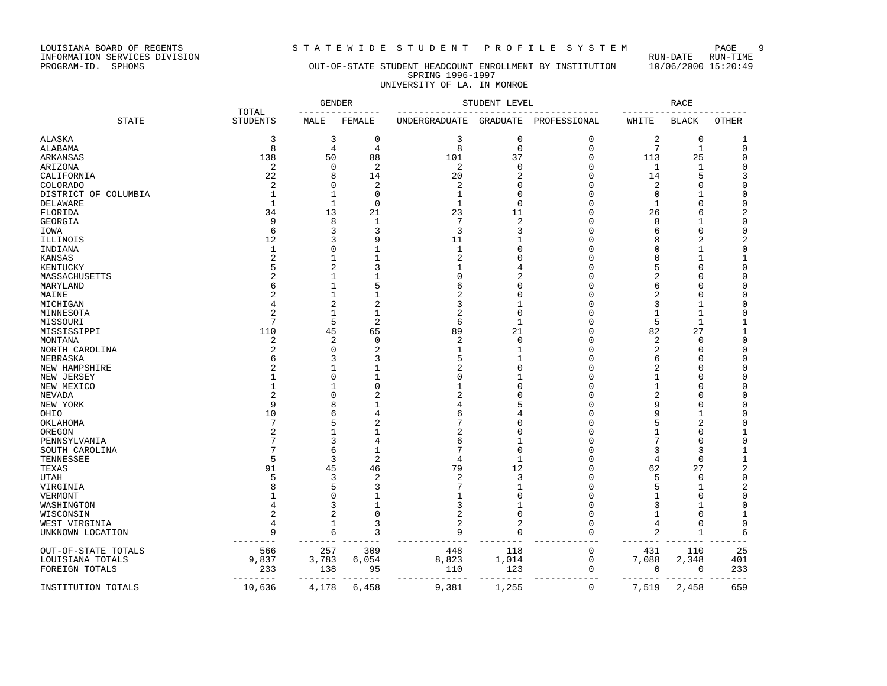LOUISIANA BOARD OF REGENTS STRITEWIDE STUDENT PROFILE SYSTEM PAGE 9<br>INFORMATION SERVICES DIVISION LOUISIANA BOARD OF REGENTS<br>INFORMATION SERVICES DIVISION<br>PROGRAM-ID. SPHOMS

### OUT-OF-STATE STUDENT HEADCOUNT ENROLLMENT BY INSTITUTION 10/06/2000 15:20:49 SPRING 1996-1997 UNIVERSITY OF LA. IN MONROE

|                      |                          |                | <b>GENDER</b>  |                      | STUDENT LEVEL  |              |                | <b>RACE</b>  |              |
|----------------------|--------------------------|----------------|----------------|----------------------|----------------|--------------|----------------|--------------|--------------|
| <b>STATE</b>         | TOTAL<br><b>STUDENTS</b> | MALE           | FEMALE         | <b>UNDERGRADUATE</b> | GRADUATE       | PROFESSIONAL | WHITE          | <b>BLACK</b> | OTHER        |
| ALASKA               | 3                        | 3              | 0              | 3                    | $\mathbf 0$    | 0            | 2              | 0            | 1            |
| ALABAMA              | 8                        | 4              | 4              | 8                    | $\Omega$       | $\mathbf 0$  | 7              | $\mathbf{1}$ | $\mathbf 0$  |
| ARKANSAS             | 138                      | 50             | 88             | 101                  | 37             | $\mathbf 0$  | 113            | 25           | $\mathbf 0$  |
| ARIZONA              | 2                        | 0              | $\overline{c}$ | 2                    | $\Omega$       | 0            | 1              | 1            | $\mathsf 0$  |
| CALIFORNIA           | 22                       | 8              | 14             | 20                   | 2              | O            | 14             | 5            | 3            |
| <b>COLORADO</b>      | $\overline{2}$           | $\Omega$       | $\overline{c}$ | 2                    | $\Omega$       | $\Omega$     | 2              | 0            | $\mathsf 0$  |
| DISTRICT OF COLUMBIA | $\mathbf{1}$             | $\mathbf{1}$   | $\mathbf 0$    | $\mathbf{1}$         | $\Omega$       | O            | 0              | $\mathbf{1}$ | $\mathsf 0$  |
| DELAWARE             | $\mathbf{1}$             | $\mathbf{1}$   | $\mathbf 0$    | $\mathbf{1}$         | $\mathbf 0$    | O            | 1              | $\Omega$     | $\mathsf 0$  |
| FLORIDA              | 34                       | 13             | 21             | 23                   | 11             | 0            | 26             | 6            | 2            |
| GEORGIA              | 9                        | 8              | 1              | 7                    | $\overline{a}$ | U            | 8              | 1            | $\mathbf 0$  |
| IOWA                 | 6                        | 3              | 3              | 3                    | 3              | O            | 6              | $\Omega$     | $\mathbf 0$  |
| ILLINOIS             | 12                       | 3              | ç              | 11                   |                | 0            |                | 2            | 2            |
| INDIANA              | $\mathbf{1}$             | $\Omega$       | 1              | $\mathbf{1}$         | U              | O            | n              | 1            | $\mathsf 0$  |
| KANSAS               |                          | 1              | $\mathbf{1}$   | $\overline{c}$       | $\cap$         | O            | O              | $\mathbf{1}$ | $\mathbf{1}$ |
| KENTUCKY             |                          | $\overline{2}$ | 3              |                      | 4              | O            | 5              | 0            | $\mathsf 0$  |
| MASSACHUSETTS        |                          | 1              | $\mathbf{1}$   | U                    | $\overline{2}$ | O            | $\overline{c}$ | $\Omega$     | $\mathbf 0$  |
| MARYLAND             |                          | 1              | 5              | 6                    | $\Omega$       | O            | 6              | 0            | $\mathsf 0$  |
| MAINE                |                          | 1              | $\mathbf{1}$   |                      | $\Omega$       | O            | 2              | 0            | $\mathbf 0$  |
| MICHIGAN             |                          | 2              | $\overline{c}$ | 3                    | 1              | O            | 3              | 1            | $\mathsf 0$  |
| MINNESOTA            |                          | $\mathbf{1}$   | $\mathbf{1}$   | $\overline{a}$       | $\Omega$       | O            | 1              | 1            | $\mathbf 0$  |
| MISSOURI             | 7                        | 5              | $\overline{2}$ | 6                    | 1              | N            | 5              | 1            | 1            |
| MISSISSIPPI          | 110                      | 45             | 65             | 89                   | 21             | O            | 82             | 27           | 1            |
| MONTANA              | 2                        | 2              | $\Omega$       | $\overline{2}$       | 0              | O            | 2              | Ω            | $\mathsf 0$  |
| NORTH CAROLINA       |                          | $\Omega$       | $\overline{c}$ | $\mathbf{1}$         | 1              | O            | $\overline{2}$ | Ω            | $\mathbf 0$  |
| NEBRASKA             |                          | 3              | 3              | 5                    | 1              | 0            | 6              | 0            | $\mathsf 0$  |
| NEW HAMPSHIRE        |                          |                | 1              |                      | $\Omega$       | O            | 2              | 0            | $\mathsf 0$  |
| NEW JERSEY           |                          | $\Omega$       |                | C                    |                | O            |                | $\Omega$     | $\mathbf 0$  |
| NEW MEXICO           |                          | 1              | $\Omega$       |                      | $\cap$         | O            | -1             | Ω            | 0            |
| NEVADA               |                          | O              | 2              |                      | O              | N            | 2              | 0            | 0            |
| NEW YORK             | $\mathsf{Q}$             | 8              | 1              |                      |                | O            | q              | $\Omega$     | $\mathsf 0$  |
| OHIO                 | 10                       | 6              | 4              |                      |                | O            |                | 1            | 0            |
| OKLAHOMA             | 7                        | 5              | 2              |                      | n              | U            | 5              | 2            | $\mathbf 0$  |
| OREGON               |                          | 1              | 1              |                      | $\Omega$       | O            |                | 0            | $\mathbf{1}$ |
| PENNSYLVANIA         |                          | 3              | 4              | 6                    |                | O            |                | 0            | $\mathsf 0$  |
| SOUTH CAROLINA       |                          | 6              | $\mathbf{1}$   | 7                    | $\Omega$       | O            | 3              | 3            | $\mathbf{1}$ |
| TENNESSEE            | 5                        | 3              | $\overline{2}$ | $\overline{4}$       | $\mathbf{1}$   | O            | 4              | $\Omega$     | 1            |
| TEXAS                | 91                       | 45             | 46             | 79                   | 12             | O            | 62             | 27           | $\sqrt{2}$   |
| <b>UTAH</b>          |                          | 3              | $\overline{c}$ | 2                    | 3              | $\Omega$     | 5              | $\Omega$     | $\mathbf 0$  |
| VIRGINIA             |                          | 5              | 3              |                      | 1              | O            | 5              | 1            | 2            |
| VERMONT              |                          | $\Omega$       | 1              | -1                   | $\cap$         | N            |                | Ω            | $\mathsf 0$  |
| WASHINGTON           |                          | 3              | 1              | ς                    |                | O            | 3              |              | $\mathbf 0$  |
| WISCONSIN            |                          | 2              | 0              | 2                    | $\Omega$       | $\Omega$     | 1              | $\Omega$     | 1            |
| WEST VIRGINIA        |                          | 1              | 3              | 2                    | 2              | O            | 4              | O            | $\mathsf 0$  |
| UNKNOWN LOCATION     | 9                        | 6              | 3              | 9                    | $\Omega$       | $\Omega$     | $\overline{2}$ | 1            | 6            |
| OUT-OF-STATE TOTALS  | 566                      | 257            | 309            | 448                  | 118            | 0            | 431            | 110          | 25           |
| LOUISIANA TOTALS     | 9,837                    | 3,783          | 6,054          | 8,823                | 1,014          | 0            | 7,088          | 2,348        | 401          |
| FOREIGN TOTALS       | 233                      | 138            | 95<br>$-$      | 110                  | 123            | 0            | 0              | 0            | 233          |
| INSTITUTION TOTALS   | 10,636                   | 4,178          | 6,458          | 9,381                | 1,255          | 0            | 7,519          | 2,458        | 659          |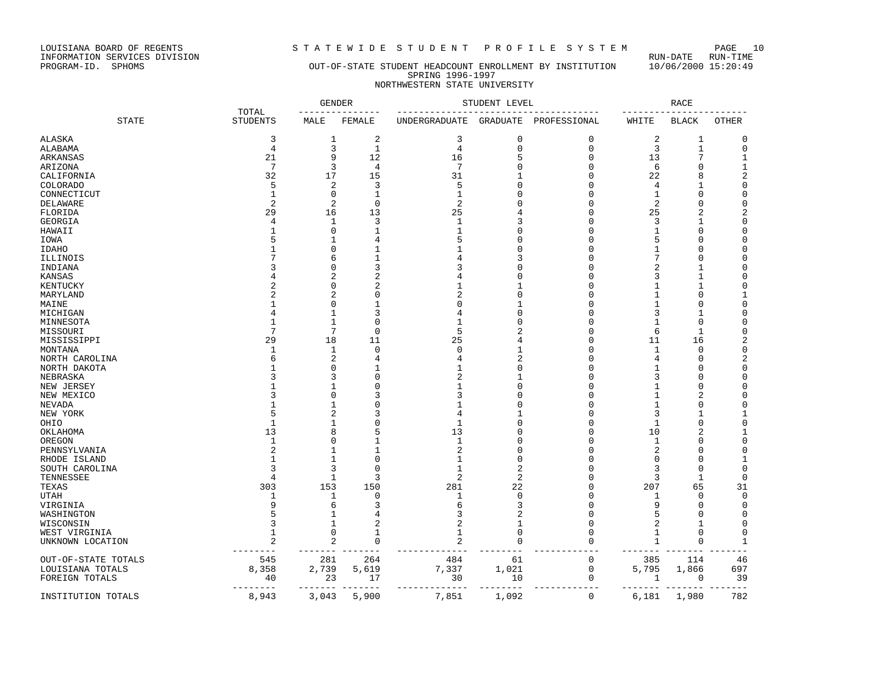LOUISIANA BOARD OF REGENTS STRITEWIDE STUDENT PROFILE SYSTEM PAGE 10<br>INFORMATION SERVICES DIVISION LOUISIANA BOARD OF REGENTS<br>INFORMATION SERVICES DIVISION<br>PROGRAM-ID. SPHOMS

### OUT-OF-STATE STUDENT HEADCOUNT ENROLLMENT BY INSTITUTION 10/06/2000 15:20:49 SPRING 1996-1997 NORTHWESTERN STATE UNIVERSITY

|                           |                          |                   | <b>GENDER</b> |                                | STUDENT LEVEL  |              |             | <b>RACE</b>      |                            |
|---------------------------|--------------------------|-------------------|---------------|--------------------------------|----------------|--------------|-------------|------------------|----------------------------|
| <b>STATE</b>              | TOTAL<br><b>STUDENTS</b> | MALE              | FEMALE        | UNDERGRADUATE                  | GRADUATE       | PROFESSIONAL | WHITE       | <b>BLACK</b>     | <b>OTHER</b>               |
| ALASKA                    | 3                        | 1                 | $\sqrt{2}$    | 3                              | $\Omega$       | $\mathbf{0}$ | $\sqrt{2}$  | 1                | $\Omega$                   |
| ALABAMA                   | 4                        | 3                 | $\mathbf{1}$  | 4                              | $\Omega$       | $\mathbf{0}$ | 3           | $\mathbf{1}$     | $\mathbf 0$                |
| ARKANSAS                  | 21                       | 9                 | 12            | 16                             | 5              | $\mathbf{0}$ | 13          | 7                | 1                          |
| ARIZONA                   | 7                        | 3                 | 4             | 7                              | $\Omega$       | $\mathbf{0}$ | 6           | $\Omega$         | $\mathbf{1}$               |
| CALIFORNIA                | 32                       | 17                | 15            | 31                             |                | $\Omega$     | 22          | 8                | $\sqrt{2}$                 |
| <b>COLORADO</b>           | 5                        | $\overline{2}$    | 3             | 5                              |                | $\mathbf 0$  | 4           | 1                | $\mathsf 0$                |
| CONNECTICUT               |                          | $\mathbf 0$       | $\mathbf{1}$  | $\mathbf{1}$                   |                | $\Omega$     | 1           | $\Omega$         | $\overline{0}$             |
| DELAWARE                  |                          | $\overline{2}$    | $\mathbf 0$   | $\overline{2}$                 |                | $\Omega$     | 2           | 0                | $\Omega$                   |
| FLORIDA                   | 29                       | 16                | 13            | 25                             |                | $\mathbf 0$  | 25          | $\overline{2}$   | 2                          |
| GEORGIA                   |                          | 1                 | 3             | $\mathbf{1}$                   | 3              | $\Omega$     | 3           | 1                | $\mathsf 0$                |
| HAWAII                    |                          | 0                 | 1             | 1                              |                | $\Omega$     | 1           | 0                | $\Omega$                   |
| IOWA                      |                          | 1                 | 4             | 5                              |                | $\Omega$     | 5           | 0                | 0                          |
| <b>IDAHO</b>              |                          | n                 | 1             |                                | O              | $\Omega$     | 1           | 0                | $\Omega$                   |
| ILLINOIS                  |                          | 6                 | 1             |                                | 3              | $\Omega$     | 7           | 0                | $\Omega$                   |
| INDIANA                   |                          | 0                 | 3             |                                |                | $\Omega$     | 2           | 1                | $\Omega$                   |
| KANSAS                    |                          | 2                 | 2             |                                |                | O            | 3           | 1                | $\Omega$                   |
| KENTUCKY                  |                          | 0                 | 2             | 1                              |                | 0            | 1           | 1                | 0                          |
| MARYLAND                  |                          | 2                 | $\Omega$      |                                | $\Omega$       | $\Omega$     | 1           | 0                | 1                          |
| MAINE                     |                          | n                 | 1             | C                              | -1             | $\Omega$     | 1           | 0                | $\Omega$                   |
| MICHIGAN                  |                          | $\mathbf{1}$      | 3             | 4                              | <sup>0</sup>   | 0            | 3           | 1                | $\Omega$                   |
| MINNESOTA                 |                          | 1                 | 0             | -1                             | U              | $\Omega$     | 1           | 0                | 0                          |
|                           |                          | 7                 | 0             | 5                              |                | $\Omega$     | 6           | 1                | 0                          |
| MISSOURI                  | 29                       | 18                | 11            | 25                             |                | O            | 11          |                  | 2                          |
| MISSISSIPPI               |                          | 1                 | $\Omega$      | $\Omega$                       |                | $\Omega$     | 1           | 16<br>0          | $\mathbf 0$                |
| MONTANA<br>NORTH CAROLINA |                          | 2                 | 4             |                                | $\mathcal{D}$  | $\Omega$     | 4           | $\Omega$         | $\sqrt{2}$                 |
| NORTH DAKOTA              |                          | $\Omega$          |               |                                | $\cap$         | $\Omega$     | 1           | $\Omega$         | $\mathbf 0$                |
| NEBRASKA                  |                          | 3                 | $\cap$        |                                |                | $\Omega$     | 3           | $\Omega$         | $\Omega$                   |
| NEW JERSEY                |                          | 1                 | $\Omega$      | 1                              | <sup>0</sup>   | $\Omega$     | 1           | $\mathbf 0$      | $\mathbf 0$                |
| NEW MEXICO                |                          | $\Omega$          | 3             |                                |                | $\Omega$     | 1           | $\overline{2}$   | $\Omega$                   |
|                           |                          | 1                 | $\Omega$      |                                |                | O            |             | $\Omega$         | $\Omega$                   |
| NEVADA                    |                          | 2                 | 3             | 4                              |                | $\Omega$     | 1<br>3      | $\mathbf{1}$     | 1                          |
| NEW YORK                  | -1                       | 1                 | $\Omega$      | $\mathbf{1}$                   | <sup>0</sup>   | $\Omega$     |             | $\mathbf 0$      | $\mathsf 0$                |
| OHIO                      | 13                       | 8                 | 5             | 13                             |                | $\Omega$     | 1<br>10     | $\overline{2}$   | 1                          |
| OKLAHOMA                  | $\mathbf{1}$             | n                 | $\mathbf{1}$  | $\mathbf{1}$                   | ∩              | $\Omega$     |             | $\Omega$         | $\mathbf 0$                |
| OREGON                    |                          | 1                 |               |                                | <sup>0</sup>   | $\Omega$     | 1<br>2      | $\Omega$         | $\Omega$                   |
| PENNSYLVANIA              |                          | 1                 | $\Omega$      | 1                              | $\Omega$       | $\Omega$     | $\mathbf 0$ | $\Omega$         | 1                          |
| RHODE ISLAND              |                          |                   | $\Omega$      |                                | $\overline{c}$ | $\Omega$     |             |                  |                            |
| SOUTH CAROLINA            | 4                        | 3<br>$\mathbf{1}$ | 3             | $\mathbf{1}$<br>$\overline{2}$ | $\overline{2}$ | U            | 3<br>3      | $\mathbf 0$<br>1 | $\mathsf 0$<br>$\mathbf 0$ |
| TENNESSEE                 |                          |                   |               |                                |                | $\Omega$     |             |                  |                            |
| TEXAS                     | 303                      | 153               | 150           | 281                            | 22             |              | 207         | 65               | 31                         |
| <b>UTAH</b>               | -1                       | 1                 | $\Omega$      | 1                              | $\mathbf 0$    | $\Omega$     | 1           | 0                | $\mathbf 0$                |
| VIRGINIA                  |                          | 6<br>$\mathbf{1}$ | 3             | 6                              | 3<br>2         | $\Omega$     | 9<br>5      | 0                | 0                          |
| WASHINGTON                |                          |                   | 4             | 3                              |                | $\mathbf 0$  |             | 0                | 0                          |
| WISCONSIN                 |                          | 1                 | 2             |                                | 1              | $\Omega$     | 2           | 1                | 0                          |
| WEST VIRGINIA             |                          | 0                 | 1             | 1                              | <sup>0</sup>   | $\Omega$     | 1           | 0                | 0                          |
| UNKNOWN LOCATION          | 2                        | 2                 | $\mathbf 0$   | 2                              |                | $\Omega$     | 1           | 0                | 1                          |
| OUT-OF-STATE TOTALS       | 545                      | 281               | 264           | 484                            | 61             | 0            | 385         | 114              | 46                         |
| LOUISIANA TOTALS          | 8,358                    | 2,739             | 5,619         | 7,337                          | 1,021          | 0            | 5,795       | 1,866            | 697                        |
| FOREIGN TOTALS            | 40                       | 23                | 17            | 30                             | 10             | $\mathbf 0$  | 1           | 0                | 39                         |
|                           |                          |                   | --            | ----                           |                |              | -----       |                  | ---                        |
| INSTITUTION TOTALS        | 8,943                    | 3,043             | 5,900         | 7,851                          | 1,092          | 0            | 6,181       | 1,980            | 782                        |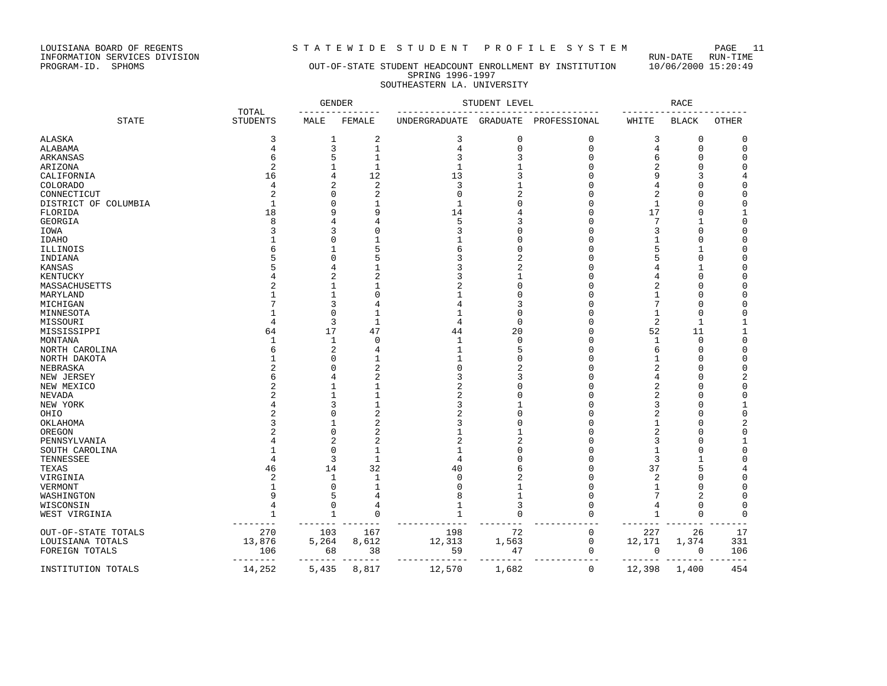LOUISIANA BOARD OF REGENTS<br>INFORMATION SERVICES DIVISION<br>PROGRAM-ID. SPHOMS

# STATEWIDE STUDENT PROFILE SYSTEM PAGE 11<br>RUN-DATE RUN-TIME

#### PROGRAM-ID. SPHOMS OUT-OF-STATE STUDENT HEADCOUNT ENROLLMENT BY INSTITUTION 10/06/2000 15:20:49 SPRING 1996-1997 SOUTHEASTERN LA. UNIVERSITY

|                      |                          | <b>GENDER</b>    |               |                | STUDENT LEVEL |              |             | <b>RACE</b>    |                |
|----------------------|--------------------------|------------------|---------------|----------------|---------------|--------------|-------------|----------------|----------------|
| <b>STATE</b>         | TOTAL<br><b>STUDENTS</b> | MALE             | FEMALE        | UNDERGRADUATE  | GRADUATE      | PROFESSIONAL | WHITE       | <b>BLACK</b>   | OTHER          |
| <b>ALASKA</b>        | 3                        | $\mathbf{1}$     | 2             | 3              | $\mathbf 0$   | $\mathbf 0$  | 3           | $\mathbf 0$    | 0              |
| ALABAMA              | 4                        | 3                | $\mathbf{1}$  | 4              | $\mathbf 0$   | $\Omega$     | 4           | $\mathbf 0$    | $\mathbf 0$    |
| ARKANSAS             | 6                        | 5                | 1             | 3              |               | $\cap$       | 6           | $\mathbf 0$    | 0              |
| ARIZONA              |                          |                  | $\mathbf{1}$  | $\mathbf{1}$   |               | $\cap$       | 2           | $\mathbf 0$    | $\Omega$       |
| CALIFORNIA           | 16                       | 4                | 12            | 13             |               |              | 9           | 3              | 4              |
| <b>COLORADO</b>      | 4                        | 2                | 2             | 3              |               |              | 4           | n              | $\Omega$       |
| CONNECTICUT          |                          |                  | 2             | $\Omega$       |               |              | 2           | $\Omega$       | $\Omega$       |
| DISTRICT OF COLUMBIA |                          |                  |               |                |               |              | 1           | $\Omega$       | $\Omega$       |
| FLORIDA              | 18                       | q                | 9             | 14             |               |              | 17          | $\mathbf 0$    | 1              |
| GEORGIA              | R                        |                  |               | 5              |               |              | 7           | 1              | 0              |
| IOWA                 |                          |                  |               | κ              |               |              | 3           | $\Omega$       | $\Omega$       |
| <b>IDAHO</b>         |                          |                  |               |                |               |              | 1           | $\Omega$       | $\Omega$       |
| ILLINOIS             |                          |                  | 5             | 6              |               |              | 5           | -1             | $\Omega$       |
| INDIANA              |                          |                  | 5             | 3              |               |              | 5           | $\mathbf 0$    | $\Omega$       |
| <b>KANSAS</b>        |                          |                  |               |                |               |              |             | 1              | $\Omega$       |
|                      |                          | 2                | 2             |                |               |              | 4           | $\Omega$       | $\Omega$       |
| KENTUCKY             |                          |                  |               |                |               |              |             | $\Omega$       | 0              |
| MASSACHUSETTS        |                          |                  | O             |                |               |              |             | $\Omega$       |                |
| MARYLAND             |                          |                  |               |                |               |              | 1<br>7      |                | $\Omega$       |
| MICHIGAN             |                          | 3                | 4             |                |               |              |             | $\Omega$       | $\Omega$       |
| MINNESOTA            |                          | $\Omega$         | 1             |                | C             |              | 1           | $\mathbf 0$    | 0              |
| MISSOURI             |                          | 3                | $\mathbf{1}$  | 4              | $\mathbf 0$   |              | 2           | 1              | $\mathbf{1}$   |
| MISSISSIPPI          | 64                       | 17               | 47            | 44             | 20            |              | 52          | 11             |                |
| MONTANA              |                          | 1                | O             |                | $\Omega$      |              | 1           | $\mathbf 0$    | $\Omega$       |
| NORTH CAROLINA       |                          | $\overline{c}$   |               |                |               |              | 6           | $\mathbf 0$    | $\mathbf 0$    |
| NORTH DAKOTA         |                          | ∩                |               |                |               |              | -1          | $\Omega$       | 0              |
| NEBRASKA             |                          |                  | 2             |                |               |              | 2           | ∩              | $\Omega$       |
| NEW JERSEY           |                          |                  |               | 3              |               |              | 4           | n              | 2              |
| NEW MEXICO           |                          |                  |               | $\overline{a}$ |               |              | 2           | $\Omega$       | 0              |
| <b>NEVADA</b>        |                          |                  |               | 2              |               |              | 2           | $\Omega$       | $\Omega$       |
| NEW YORK             |                          |                  |               | 3              |               |              | 3           | $\Omega$       |                |
| OHIO                 |                          |                  | 2             |                |               |              | 2           | $\Omega$       | 0              |
| OKLAHOMA             |                          |                  | 2             | ς              |               |              | 1           | $\Omega$       | $\overline{2}$ |
| OREGON               |                          | ∩                | 2             |                |               |              | 2           | $\Omega$       | 0              |
| PENNSYLVANIA         |                          | 2                | 2             |                |               |              | 3           | n              | 1              |
| SOUTH CAROLINA       |                          | $\Omega$         | 1             |                |               |              | 1           | $\Omega$       | $\mathbf 0$    |
| TENNESSEE            |                          | 3                | $\mathbf{1}$  | 4              |               |              | 3           | 1              |                |
| TEXAS                | 46                       | 14               | 32            | 40             |               |              | 37          | 5              |                |
| VIRGINIA             |                          | -1               | 1             |                |               |              | 2           | $\Omega$       | $\Omega$       |
| VERMONT              |                          | n                |               |                |               |              | 1           | $\Omega$       | $\Omega$       |
| WASHINGTON           |                          | 5                |               |                |               |              | 7           | $\overline{2}$ | $\Omega$       |
| WISCONSIN            |                          | 0                | 4             |                |               | n            | 4           | $\mathbf 0$    | $\mathbf 0$    |
| WEST VIRGINIA        |                          | $\mathbf{1}$     | 0             |                | $\Omega$      | $\cap$       | $\mathbf 1$ | $\mathbf 0$    | $\mathbf 0$    |
| OUT-OF-STATE TOTALS  | 270                      | 103              | 167           | 198            | 72            | $\mathbf 0$  | 227         | 26             | 17             |
| LOUISIANA TOTALS     | 13,876                   | 5,264            | 8,612         | 12,313         | 1,563         | $\mathbf 0$  | 12,171      | 1,374          | 331            |
| FOREIGN TOTALS       | 106<br>$- - - - - - -$   | 68               | 38            | 59             | 47            | $\mathbf 0$  | 0           | 0              | 106            |
| INSTITUTION TOTALS   | 14,252                   | -------<br>5,435 | $-1$<br>8,817 | 12,570         | 1,682         | $\mathbf 0$  | 12,398      | 1,400          | 454            |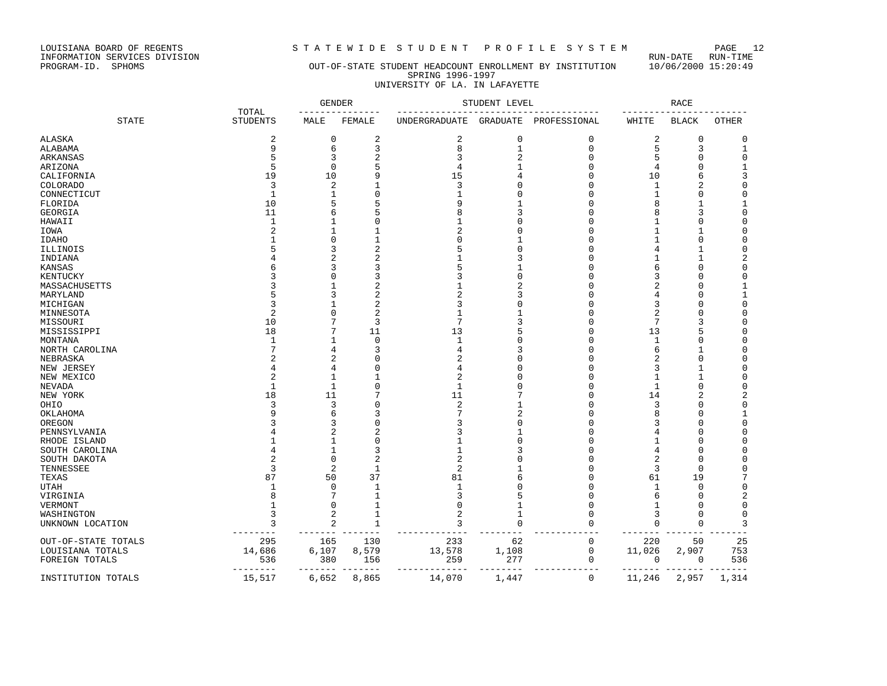LOUISIANA BOARD OF REGENTS<br>INFORMATION SERVICES DIVISION<br>PROGRAM-ID. SPHOMS

# STATEWIDE STUDENT PROFILE SYSTEM PAGE 12<br>RUN-DATE RUN-TIME

### OUT-OF-STATE STUDENT HEADCOUNT ENROLLMENT BY INSTITUTION 10/06/2000 15:20:49 SPRING 1996-1997 UNIVERSITY OF LA. IN LAFAYETTE

|                     |                          | <b>GENDER</b>  |              |                | STUDENT LEVEL   |              |                | <b>RACE</b>  |              |
|---------------------|--------------------------|----------------|--------------|----------------|-----------------|--------------|----------------|--------------|--------------|
| <b>STATE</b>        | TOTAL<br><b>STUDENTS</b> | MALE           | FEMALE       | UNDERGRADUATE  | <b>GRADUATE</b> | PROFESSIONAL | WHITE          | <b>BLACK</b> | <b>OTHER</b> |
| ALASKA              | 2                        | $\mathbf 0$    | 2            | 2              | $\mathbf 0$     | $\mathbf 0$  | $\overline{c}$ | 0            | $\mathbf 0$  |
| ALABAMA             | 9                        | 6              | 3            | 8              | $\mathbf{1}$    | $\mathbf 0$  | 5              | 3            | $\mathbf 1$  |
| ARKANSAS            |                          | 3              | 2            | 3              | $\overline{2}$  | $\Omega$     | 5              | $\Omega$     | $\mathbf 0$  |
| ARIZONA             | 5                        | $\Omega$       | 5            | $\overline{4}$ |                 | $\cap$       | 4              | $\Omega$     | 1            |
| CALIFORNIA          | 19                       | 10             | 9            | 15             |                 | n            | 10             | 6            | 3            |
| COLORADO            | 3                        | $\overline{c}$ |              | 3              |                 | n            | 1              | 2            | $\Omega$     |
| CONNECTICUT         | $\mathbf{1}$             | -1             | O            | 1              |                 | C            | 1              | $\Omega$     | $\Omega$     |
| FLORIDA             | 10                       |                | 5            | 9              |                 | ſ            | 8              | $\mathbf{1}$ |              |
| GEORGIA             | 11                       |                |              | 8              |                 | ſ            |                | 3            | $\Omega$     |
| HAWAII              | $\mathbf{1}$             |                | Ω            | 1              |                 | ſ            | 1              | 0            | 0            |
|                     |                          |                |              | 2              |                 |              |                | $\mathbf{1}$ | $\mathbf 0$  |
| IOWA                |                          |                | $\mathbf{1}$ | U              |                 |              |                | $\Omega$     | $\Omega$     |
| IDAHO               |                          |                | 2            |                |                 |              |                |              | $\Omega$     |
| ILLINOIS            |                          | 3              |              |                |                 | ſ            | 4              | -1           |              |
| INDIANA             |                          | 2              |              |                |                 |              |                | $\mathbf{1}$ | 2            |
| KANSAS              |                          |                |              | 5              |                 | ſ            | 6              | $\Omega$     | 0            |
| KENTUCKY            |                          |                | 3            | ς              |                 | C            | 3              | U            | $\Omega$     |
| MASSACHUSETTS       |                          |                | 2            |                |                 | C            | 2              | $\Omega$     |              |
| MARYLAND            |                          | 3              | 2            | 2              |                 | ſ            | 4              | $\Omega$     | 1            |
| MICHIGAN            |                          |                | 2            | ς              |                 |              | 3              | C            | 0            |
| MINNESOTA           |                          | n              | 2            | 1              |                 | n            | 2              | $\Omega$     | 0            |
| MISSOURI            | 10                       | 7              | 3            | 7              |                 | ſ            | 7              | 3            | $\Omega$     |
| MISSISSIPPI         | 18                       | 7              | 11           | 13             |                 | ſ            | 13             | 5            | O            |
| MONTANA             |                          |                | 0            | 1              |                 | n            | 1              | $\Omega$     | $\Omega$     |
| NORTH CAROLINA      |                          |                | 3            | 4              |                 |              | 6              | -1           | $\Omega$     |
| NEBRASKA            |                          | 2              |              | 2              |                 | n            | $\overline{c}$ | 0            | 0            |
| NEW JERSEY          |                          | 4              | N            | 4              |                 | ſ            | 3              | -1           | $\Omega$     |
| NEW MEXICO          |                          | 1              | $\mathbf{1}$ | $\overline{2}$ |                 | C            | 1              | $\mathbf{1}$ | $\Omega$     |
| NEVADA              | $\mathbf{1}$             | $\mathbf{1}$   | $\Omega$     | $\mathbf{1}$   |                 | C            | 1              | $\mathbf 0$  | $\mathbf 0$  |
| NEW YORK            | 18                       | 11             |              | 11             |                 | ſ            | 14             | 2            | 2            |
| OHIO                |                          | 3              |              | 2              |                 | ſ            | 3              | U            | 0            |
| OKLAHOMA            |                          | 6              |              |                |                 | n            | 8              | 0            |              |
| OREGON              |                          | 3              | Ω            | ς              |                 |              | 3              | $\Omega$     | $\mathbf 0$  |
| PENNSYLVANIA        |                          | 2              | 2            | ς              |                 | n            |                | O            | 0            |
| RHODE ISLAND        |                          |                | 0            |                |                 |              |                | $\Omega$     | $\Omega$     |
| SOUTH CAROLINA      |                          | 1              | 3            |                |                 |              |                | $\Omega$     | $\Omega$     |
| SOUTH DAKOTA        |                          | $\Omega$       | 2            | 2              |                 | C            | 2              | <sup>0</sup> | 0            |
| TENNESSEE           |                          | $\overline{2}$ | 1            | $\overline{2}$ |                 | ſ            | 3              | $\mathbf 0$  | O            |
| TEXAS               | 87                       | 50             | 37           | 81             |                 | n            | 61             | 19           | 7            |
| UTAH                |                          | $\Omega$       | $\mathbf{1}$ |                |                 |              | -1             | $\mathbf 0$  | $\mathbf 0$  |
| VIRGINIA            |                          | 7              | $\mathbf{1}$ | ς              | 5               | C            | 6              | $\Omega$     | 2            |
| VERMONT             |                          | $\mathbf 0$    | 1            | $\Omega$       |                 | $\Omega$     | 1              | $\Omega$     | 0            |
| WASHINGTON          | 3                        | 2              | $\mathbf{1}$ | 2              | -1              | n            | 3              | 0            | 0            |
| UNKNOWN LOCATION    | 3                        | $\overline{2}$ | $\mathbf{1}$ | 3              | $\Omega$        | $\cap$       | $\Omega$       | $\Omega$     | 3            |
|                     |                          |                |              |                |                 |              |                |              |              |
| OUT-OF-STATE TOTALS | 295                      | 165            | 130          | 233            | 62              | $\mathbf 0$  | 220            | 50           | 25           |
| LOUISIANA TOTALS    | 14,686                   | 6,107          | 8,579        | 13,578         | 1,108           | 0            | 11,026         | 2,907        | 753          |
| FOREIGN TOTALS      | 536                      | 380            | 156          | 259            | 277             | 0            | 0              | 0            | 536          |
| INSTITUTION TOTALS  | 15,517                   | 6,652          | 8,865        | 14,070         | 1,447           | 0            | 11,246         | 2,957        | 1,314        |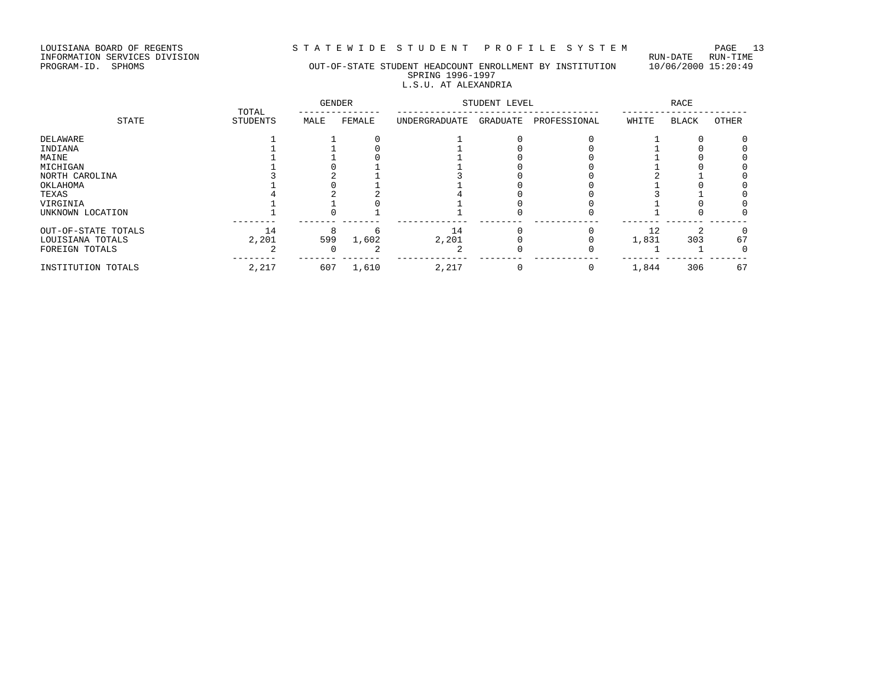LOUISIANA BOARD OF REGENTS STRITEWIDE STUDENT PROFILE SYSTEM PAGE 13<br>INFORMATION SERVICES DIVISION

LOUISIANA BOARD OF REGENTS<br>INFORMATION SERVICES DIVISION<br>PROGRAM-ID. SPHOMS

### OUT-OF-STATE STUDENT HEADCOUNT ENROLLMENT BY INSTITUTION 10/06/2000 15:20:49 SPRING 1996-1997 L.S.U. AT ALEXANDRIA

|                     | TOTAL    | <b>GENDER</b> |        |               | STUDENT LEVEL |              |       | RACE  |       |
|---------------------|----------|---------------|--------|---------------|---------------|--------------|-------|-------|-------|
| STATE               | STUDENTS | MALE          | FEMALE | UNDERGRADUATE | GRADUATE      | PROFESSIONAL | WHITE | BLACK | OTHER |
| DELAWARE            |          |               |        |               |               |              |       |       |       |
| INDIANA             |          |               |        |               |               |              |       |       |       |
| MAINE               |          |               |        |               |               |              |       |       |       |
| MICHIGAN            |          |               |        |               |               |              |       |       |       |
| NORTH CAROLINA      |          |               |        |               |               |              |       |       |       |
| OKLAHOMA            |          |               |        |               |               |              |       |       |       |
| TEXAS               |          |               |        |               |               |              |       |       |       |
| VIRGINIA            |          |               |        |               |               |              |       |       |       |
| UNKNOWN LOCATION    |          |               |        |               |               |              |       |       |       |
| OUT-OF-STATE TOTALS | 14       |               |        | 14            |               |              | 12    | ◠     |       |
| LOUISIANA TOTALS    | 2,201    | 599           | 1,602  | 2,201         |               |              | 1,831 | 303   | 67    |
| FOREIGN TOTALS      |          |               |        |               |               |              |       |       |       |
| INSTITUTION TOTALS  | 2,217    | 607           | 1,610  | 2,217         |               |              | 1,844 | 306   | 67    |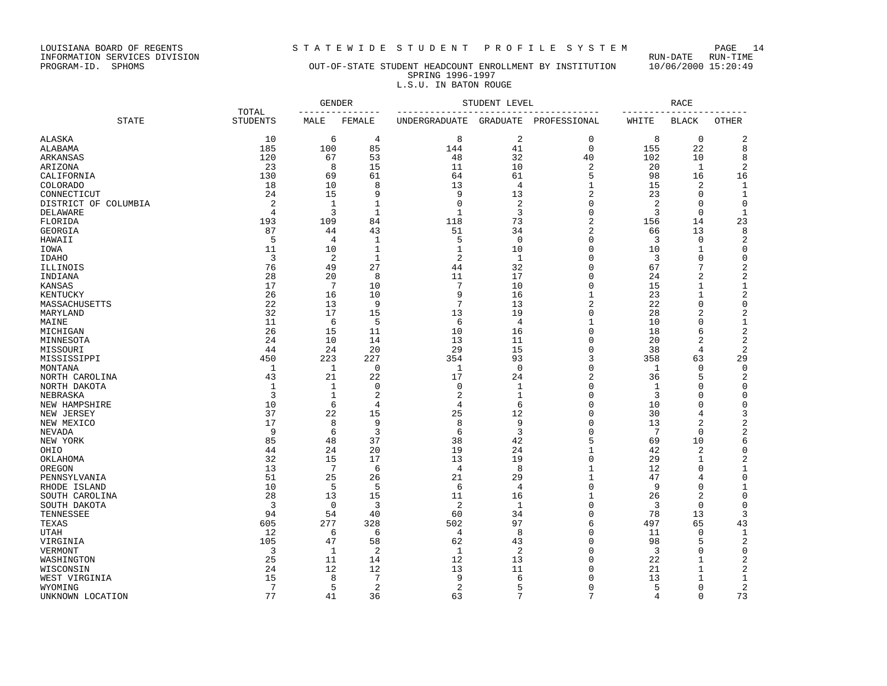LOUISIANA BOARD OF REGENTS STATEWIDE STUDENT PROFILE SYSTEM PAGE 14<br>INFORMATION SERVICES DIVISION INFORMATION SERVICES DIVISION RUN-DATE RUN-TIME

## PROGRAM-ID. SPHOMS OUT-OF-STATE STUDENT HEADCOUNT ENROLLMENT BY INSTITUTION 10/06/2000 15:20:49 SPRING 1996-1997

|                         | L.S.U. IN BATON ROUGE |               |        |                      |               |              |        |              |       |  |  |
|-------------------------|-----------------------|---------------|--------|----------------------|---------------|--------------|--------|--------------|-------|--|--|
|                         | TOTAL                 | <b>GENDER</b> |        |                      | STUDENT LEVEL |              | RACE   |              |       |  |  |
| STATE                   | STUDENTS              | MALE          | FEMALE | <b>UNDERGRADUATE</b> | GRADUATE      | PROFESSIONAL | WHITE  | <b>BLACK</b> | OTHER |  |  |
| ALASKA                  | 10                    | 6             |        |                      |               |              |        |              |       |  |  |
| ALABAMA                 | 185                   | 100           | 85     | 144                  | 41            |              | 155    | 22           |       |  |  |
| ARKANSAS                | 120                   | 67            | 53     | 48                   | 32            | 40           | 102    | 10           |       |  |  |
| ARIZONA                 | 23                    |               | 15     |                      | 10            |              | 20     |              |       |  |  |
| CALIFORNIA              | 130                   | 69            | 61     | 64                   | 61            |              | 98     | 16           | 16    |  |  |
| COLORADO                | 18                    | 10            |        | 13                   |               |              |        |              |       |  |  |
| CONNECTICUT             | 24                    | 15            |        |                      | 13            |              | 23     |              |       |  |  |
| COLUMBIA<br>DISTRICT OF |                       |               |        |                      |               |              |        |              |       |  |  |
| DELAWARE                |                       |               |        |                      |               |              |        |              |       |  |  |
| FLORIDA                 | 193                   | 109           | 84     | 118                  | 73            |              | 156    | 14           | 23    |  |  |
| GEORGIA                 | 87                    | 44            | 43     | 51                   | 34            |              | 66     | 13           |       |  |  |
| HAWAII                  |                       |               |        |                      |               |              |        |              |       |  |  |
| -----                   |                       | $\sim$ $\sim$ |        |                      | $\sim$        |              | $\sim$ |              |       |  |  |

| CALIFORNIA           | 130             | 69           | 61             | 64             | 61           | 5              | 98  | 16             | 16             |
|----------------------|-----------------|--------------|----------------|----------------|--------------|----------------|-----|----------------|----------------|
| COLORADO             | 18              | 10           | 8              | 13             | 4            | 1              | 15  | 2              | 1              |
| CONNECTICUT          | 24              | 15           | 9              | 9              | 13           | $\overline{2}$ | 23  | $\Omega$       | 1              |
| DISTRICT OF COLUMBIA | 2               | 1            | $\mathbf{1}$   | 0              | 2            | $\Omega$       | 2   | $\Omega$       | 0              |
| DELAWARE             | $\overline{4}$  | 3            | $\mathbf{1}$   | $\mathbf{1}$   | 3            | $\Omega$       | 3   | 0              | 1              |
| FLORIDA              | 193             | 109          | 84             | 118            | 73           | 2              | 156 | 14             | 23             |
| GEORGIA              | 87              | 44           | 43             | 51             | 34           | $\overline{2}$ | 66  | 13             | 8              |
| HAWAII               | 5               | 4            | 1              | 5              | $\mathbf 0$  | $\Omega$       | 3   | $\Omega$       | 2              |
| IOWA                 | 11              | 10           | $\mathbf{1}$   | 1              | 10           | $\Omega$       | 10  | 1              | $\mathbf 0$    |
| IDAHO                | 3               | 2            | 1              | 2              | 1            | $\Omega$       | 3   | 0              | $\mathbf 0$    |
| ILLINOIS             | 76              | 49           | 27             | 44             | 32           | $\Omega$       | 67  | 7              | $\sqrt{2}$     |
| INDIANA              | 28              | 20           | 8              | 11             | 17           | $\Omega$       | 24  | $\overline{2}$ | $\sqrt{2}$     |
| KANSAS               | 17              | 7            | 10             | 7              | 10           | $\Omega$       | 15  | 1              | $1\,$          |
| KENTUCKY             | 26              | 16           | 10             | 9              | 16           | 1              | 23  | 1              | 2              |
| MASSACHUSETTS        | 22              | 13           | 9              | 7              | 13           | $\overline{2}$ | 22  | $\Omega$       | $\mathbf 0$    |
|                      | 32              |              |                |                |              | $\Omega$       |     |                |                |
| MARYLAND             |                 | 17           | 15             | 13             | 19           |                | 28  | $\overline{2}$ | $\sqrt{2}$     |
| MAINE                | 11              | 6            | 5              | 6              | 4            | 1              | 10  | $\Omega$       | $\mathbf{1}$   |
| MICHIGAN             | 26              | 15           | 11             | 10             | 16           | $\Omega$       | 18  | 6              | $\sqrt{2}$     |
| MINNESOTA            | 24              | 10           | 14             | 13             | 11           | $\Omega$       | 20  | 2              | $\overline{c}$ |
| MISSOURI             | 44              | 24           | 20             | 29             | 15           | $\mathbf 0$    | 38  | 4              | $\sqrt{2}$     |
| MISSISSIPPI          | 450             | 223          | 227            | 354            | 93           | 3              | 358 | 63             | 29             |
| MONTANA              | $\mathbf{1}$    | $\mathbf{1}$ | $\mathbf 0$    | $\mathbf{1}$   | $\mathbf 0$  | $\Omega$       | 1   | $\Omega$       | $\mathbf 0$    |
| NORTH CAROLINA       | 43              | 21           | 22             | 17             | 24           | 2              | 36  | 5              | 2              |
| NORTH DAKOTA         | $\mathbf{1}$    | 1            | $\mathbf 0$    | $\Omega$       | $\mathbf{1}$ | $\Omega$       | 1   | $\cap$         | 0              |
| NEBRASKA             | 3               | 1            | $\overline{c}$ | 2              | $\mathbf{1}$ | $\Omega$       | 3   | $\Omega$       | 0              |
| NEW HAMPSHIRE        | 10              | 6            | 4              | 4              | 6            | $\Omega$       | 10  | $\Omega$       | $\mathbf 0$    |
| NEW JERSEY           | 37              | 22           | 15             | 25             | 12           | $\Omega$       | 30  | 4              | 3              |
| NEW MEXICO           | 17              | 8            | 9              | 8              | 9            | $\Omega$       | 13  | $\overline{2}$ | $\sqrt{2}$     |
| NEVADA               | 9               | 6            | $\overline{3}$ | 6              | 3            | $\Omega$       | 7   | 0              | $\overline{2}$ |
| NEW YORK             | 85              | 48           | 37             | 38             | 42           | 5              | 69  | 10             | 6              |
| OHIO                 | 44              | 24           | 20             | 19             | 24           | $\mathbf{1}$   | 42  | $\overline{2}$ | $\mathbf 0$    |
| OKLAHOMA             | 32              | 15           | 17             | 13             | 19           | $\mathbf 0$    | 29  | $\mathbf{1}$   | $\overline{c}$ |
| OREGON               | 13              | 7            | 6              | 4              | 8            | 1              | 12  | $\Omega$       | 1              |
| PENNSYLVANIA         | 51              | 25           | 26             | 21             | 29           | 1              | 47  | 4              | $\mathbf 0$    |
|                      | 10              |              |                |                |              | $\Omega$       |     | $\Omega$       |                |
| RHODE ISLAND         |                 | 5            | 5              | 6              | 4            |                | 9   |                | $\mathbf{1}$   |
| SOUTH CAROLINA       | 28              | 13           | 15             | 11             | 16           | 1              | 26  | $\overline{2}$ | $\Omega$       |
| SOUTH DAKOTA         | 3               | $\mathbf 0$  | 3              | $\overline{2}$ | $\mathbf{1}$ | $\Omega$       | 3   | $\mathbf 0$    | 0              |
| TENNESSEE            | 94              | 54           | 40             | 60             | 34           | $\Omega$       | 78  | 13             | 3              |
| TEXAS                | 605             | 277          | 328            | 502            | 97           | 6              | 497 | 65             | 43             |
| UTAH                 | 12              | 6            | 6              | 4              | 8            | $\Omega$       | 11  | $\Omega$       | 1              |
| VIRGINIA             | 105             | 47           | 58             | 62             | 43           | $\Omega$       | 98  | 5              | $\overline{c}$ |
| VERMONT              | 3               | 1            | 2              | 1              | 2            | $\Omega$       | 3   | 0              | $\mathbf 0$    |
| WASHINGTON           | 25              | 11           | 14             | 12             | 13           | $\Omega$       | 22  | 1              | 2              |
| WISCONSIN            | 24              | 12           | 12             | 13             | 11           | $\Omega$       | 21  | $\mathbf{1}$   | $\overline{c}$ |
| WEST VIRGINIA        | 15              | 8            | 7              | 9              | 6            | $\Omega$       | 13  | 1              | 1              |
| WYOMING              | $7\phantom{.0}$ | 5            | $\overline{2}$ | 2              |              | $\Omega$       | 5   | 0              | $\overline{c}$ |
| UNKNOWN LOCATION     | 77              | 41           | 36             | 63             | 7            | 7              | 4   | $\Omega$       | 73             |
|                      |                 |              |                |                |              |                |     |                |                |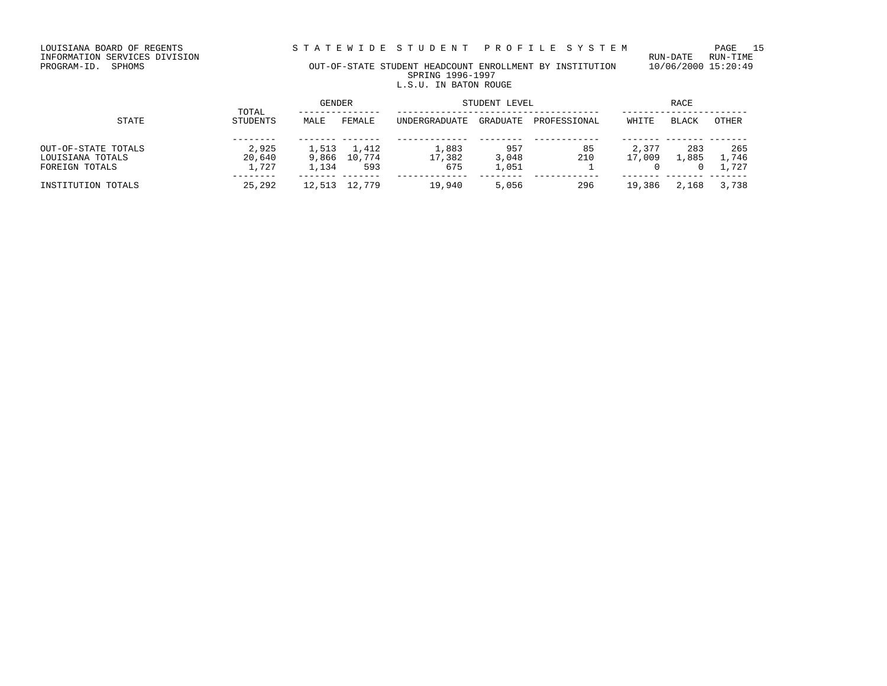LOUISIANA BOARD OF REGENTS STRITE WIDE STUDENT PROFILE SYSTEM PAGE 15<br>INFORMATION SERVICES DIVISION

LOUISIANA BOARD OF REGENTS<br>INFORMATION SERVICES DIVISION<br>PROGRAM-ID. SPHOMS

### OUT-OF-STATE STUDENT HEADCOUNT ENROLLMENT BY INSTITUTION 10/06/2000 15:20:49 SPRING 1996-1997 L.S.U. IN BATON ROUGE

| STATE                                                     |                          | GENDER                  |                        | STUDENT LEVEL          | RACE                  |              |                 |              |                       |
|-----------------------------------------------------------|--------------------------|-------------------------|------------------------|------------------------|-----------------------|--------------|-----------------|--------------|-----------------------|
|                                                           | TOTAL<br><b>STUDENTS</b> | MALE                    | FEMALE                 | UNDERGRADUATE          | GRADUATE              | PROFESSIONAL | WHITE           | BLACK        | OTHER                 |
| OUT-OF-STATE TOTALS<br>LOUISIANA TOTALS<br>FOREIGN TOTALS | 2,925<br>20,640<br>1,727 | 1,513<br>9,866<br>1,134 | 1,412<br>10,774<br>593 | 1,883<br>17,382<br>675 | 957<br>3,048<br>1,051 | 85<br>210    | 2,377<br>17,009 | 283<br>1,885 | 265<br>1,746<br>1,727 |
| INSTITUTION TOTALS                                        | 25,292                   | 12,513                  | 12,779                 | 19,940                 | 5,056                 | 296          | 19,386          | 2,168        | 3,738                 |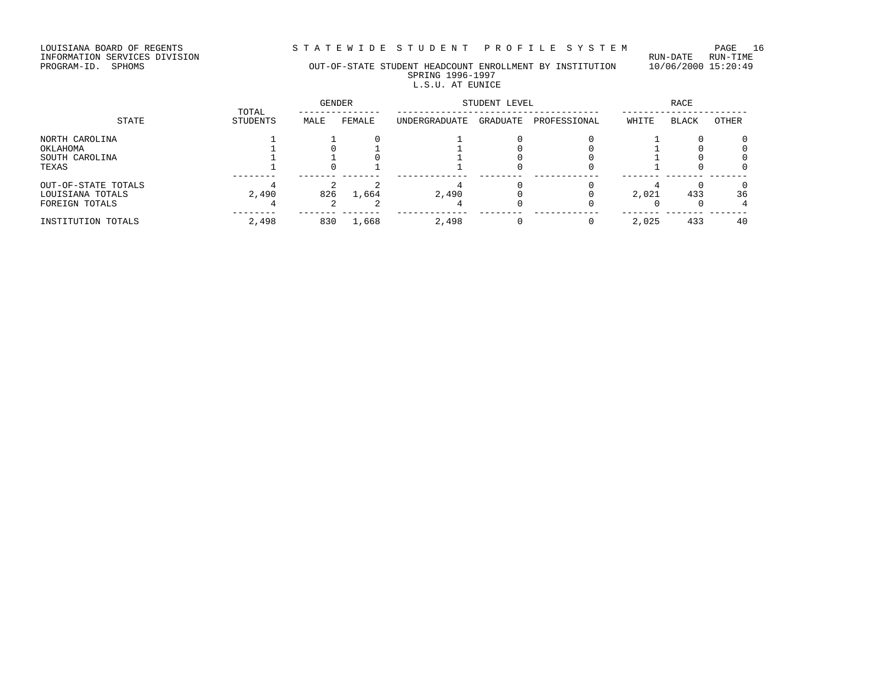LOUISIANA BOARD OF REGENTS STRITEWIDE STUDENT PROFILE SYSTEM PAGE 16<br>INFORMATION SERVICES DIVISION

LOUISIANA BOARD OF REGENTS<br>INFORMATION SERVICES DIVISION<br>PROGRAM-ID. SPHOMS

#### PROGRAM-ID. SPHOMS OUT-OF-STATE STUDENT HEADCOUNT ENROLLMENT BY INSTITUTION 10/06/2000 15:20:49 SPRING 1996-1997 L.S.U. AT EUNICE

|                                                           | TOTAL    | GENDER |        | STUDENT LEVEL |          | <b>RACE</b>  |       |              |         |
|-----------------------------------------------------------|----------|--------|--------|---------------|----------|--------------|-------|--------------|---------|
| STATE                                                     | STUDENTS | MALE   | FEMALE | UNDERGRADUATE | GRADUATE | PROFESSIONAL | WHITE | <b>BLACK</b> | OTHER   |
| NORTH CAROLINA<br>OKLAHOMA<br>SOUTH CAROLINA              |          |        |        |               |          |              |       |              |         |
| TEXAS                                                     |          |        |        |               |          |              |       |              |         |
| OUT-OF-STATE TOTALS<br>LOUISIANA TOTALS<br>FOREIGN TOTALS | 2,490    | 826    | 1,664  | 2,490         |          |              | 2,021 | 433          | 36<br>4 |
| INSTITUTION TOTALS                                        | 2,498    | 830    | 1,668  | 2,498         |          |              | 2,025 | 433          | 40      |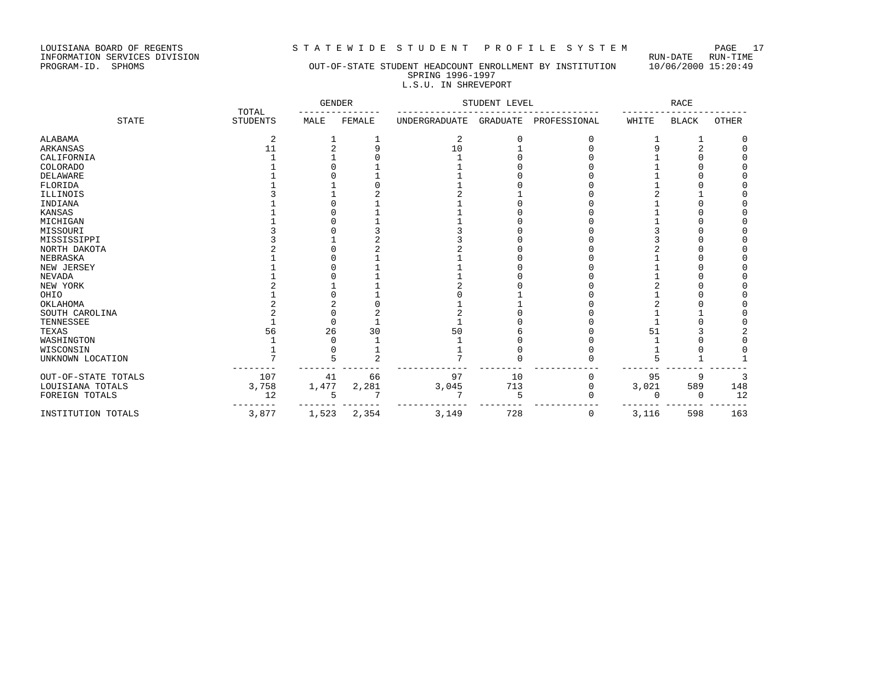LOUISIANA BOARD OF REGENTS STRITE WIDE STUDENT PROFILE SYSTEM PAGE 17<br>INFORMATION SERVICES DIVISION LOUISIANA BOARD OF REGENTS<br>INFORMATION SERVICES DIVISION<br>PROGRAM-ID. SPHOMS

### OUT-OF-STATE STUDENT HEADCOUNT ENROLLMENT BY INSTITUTION 10/06/2000 15:20:49 SPRING 1996-1997 L.S.U. IN SHREVEPORT

|                     |                          | <b>GENDER</b> |                | STUDENT LEVEL |                 |              | <b>RACE</b> |              |       |
|---------------------|--------------------------|---------------|----------------|---------------|-----------------|--------------|-------------|--------------|-------|
| <b>STATE</b>        | TOTAL<br><b>STUDENTS</b> | MALE          | FEMALE         | UNDERGRADUATE | <b>GRADUATE</b> | PROFESSIONAL | WHITE       | <b>BLACK</b> | OTHER |
| ALABAMA             | 2                        |               |                | 2             |                 |              |             |              |       |
| ARKANSAS            | 11                       |               | 9              | 10            |                 |              |             |              |       |
| CALIFORNIA          |                          |               |                |               |                 |              |             |              |       |
| <b>COLORADO</b>     |                          |               |                |               |                 |              |             |              |       |
| DELAWARE            |                          |               |                |               |                 |              |             |              |       |
| FLORIDA             |                          |               |                |               |                 |              |             |              |       |
| ILLINOIS            |                          |               |                |               |                 |              |             |              |       |
| INDIANA             |                          |               |                |               |                 |              |             |              |       |
| KANSAS              |                          |               |                |               |                 |              |             |              |       |
| MICHIGAN            |                          |               |                |               |                 |              |             |              |       |
| MISSOURI            |                          |               |                |               |                 |              |             |              |       |
| MISSISSIPPI         |                          |               |                |               |                 |              |             |              |       |
| NORTH DAKOTA        |                          |               |                |               |                 |              |             |              |       |
| NEBRASKA            |                          |               |                |               |                 |              |             |              |       |
| NEW JERSEY          |                          |               |                |               |                 |              |             |              |       |
| <b>NEVADA</b>       |                          |               |                |               |                 |              |             |              |       |
| NEW YORK            |                          |               |                |               |                 |              |             |              |       |
| OHIO                |                          |               |                |               |                 |              |             |              |       |
| OKLAHOMA            |                          |               |                |               |                 |              |             |              |       |
| SOUTH CAROLINA      |                          |               |                |               |                 |              |             |              |       |
| TENNESSEE           |                          |               |                |               |                 |              |             |              |       |
| TEXAS               | 56                       | 26            | 30             | 50            |                 |              | 51          |              |       |
| WASHINGTON          |                          |               |                |               |                 |              |             |              |       |
| WISCONSIN           |                          |               |                |               |                 |              |             |              |       |
| UNKNOWN LOCATION    | 7                        |               | $\overline{a}$ |               |                 |              |             |              |       |
| OUT-OF-STATE TOTALS | 107                      | 41            | 66             | 97            | 10              |              | 95          | 9            | 3     |
| LOUISIANA TOTALS    | 3,758                    | 1,477         | 2,281          | 3,045         | 713             |              | 3,021       | 589          | 148   |
| FOREIGN TOTALS      | 12                       |               |                |               | 5               |              | $\cap$      | <sup>0</sup> | 12    |
| INSTITUTION TOTALS  | 3,877                    | 1,523         | 2,354          | 3,149         | 728             | 0            | 3,116       | 598          | 163   |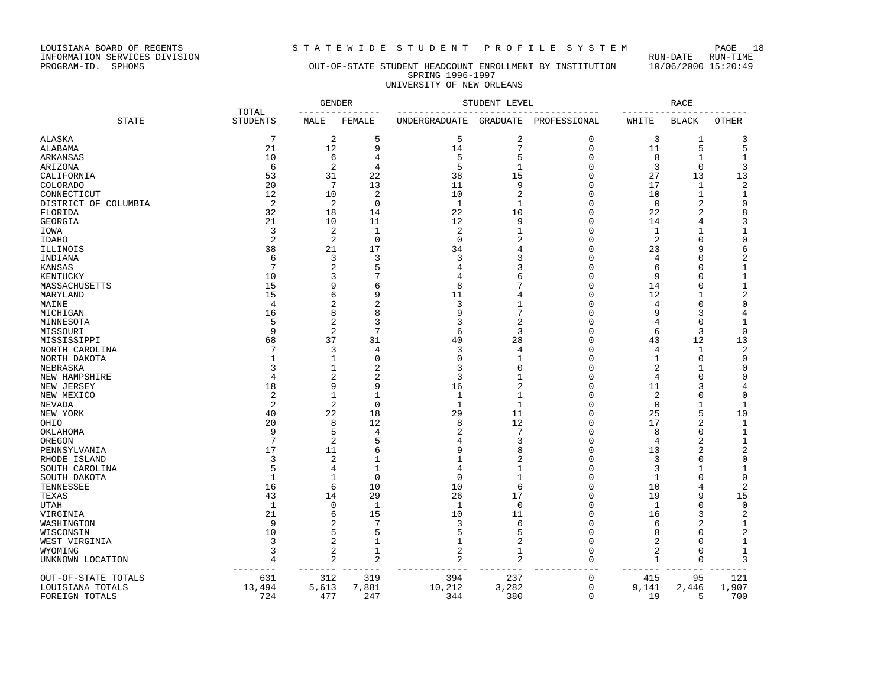LOUISIANA BOARD OF REGENTS STRITEWIDE STUDENT PROFILE SYSTEM PAGE 18<br>INFORMATION SERVICES DIVISION LOUISIANA BOARD OF REGENTS<br>INFORMATION SERVICES DIVISION<br>PROGRAM-ID. SPHOMS

### OUT-OF-STATE STUDENT HEADCOUNT ENROLLMENT BY INSTITUTION 10/06/2000 15:20:49 SPRING 1996-1997 UNIVERSITY OF NEW ORLEANS

|                         |                          |                         | <b>GENDER</b>  |               | STUDENT LEVEL  |              |              | <b>RACE</b>    |                |
|-------------------------|--------------------------|-------------------------|----------------|---------------|----------------|--------------|--------------|----------------|----------------|
| <b>STATE</b>            | TOTAL<br><b>STUDENTS</b> | MALE                    | FEMALE         | UNDERGRADUATE | GRADUATE       | PROFESSIONAL | WHITE        | <b>BLACK</b>   | <b>OTHER</b>   |
| ALASKA                  | $\overline{7}$           | $\overline{2}$          | 5              | 5             | $\overline{2}$ | 0            | 3            | 1              | 3              |
| ALABAMA                 | 21                       | 12                      | 9              | 14            | $\overline{7}$ | $\mathbf 0$  | 11           | 5              | 5              |
| ARKANSAS                | 10                       | 6                       | 4              | 5             | 5              | 0            | 8            | 1              | $\mathbf{1}$   |
| ARIZONA                 | 6                        | $\overline{2}$          | $\overline{4}$ | 5             | $\mathbf{1}$   | 0            | 3            | $\mathbf 0$    | 3              |
| CALIFORNIA              | 53                       | 31                      | 22             | 38            | 15             | 0            | 27           | 13             | 13             |
| <b>COLORADO</b>         | 20                       | 7                       | 13             | 11            | 9              | 0            | 17           | $\mathbf{1}$   | $\overline{2}$ |
| CONNECTICUT             | 12                       | 10                      | $\overline{2}$ | 10            | $\overline{a}$ | 0            | 10           | $\mathbf{1}$   | $\mathbf 1$    |
| DISTRICT OF COLUMBIA    | 2                        | $\overline{2}$          | $\mathbf 0$    | 1             | $\mathbf{1}$   | 0            | $\mathbf 0$  | 2              | $\Omega$       |
| FLORIDA                 | 32                       | 18                      | 14             | 22            | 10             | 0            | 22           | 2              | 8              |
| GEORGIA                 | 21                       | 10                      | 11             | 12            | 9              | 0            | 14           | 4              | 3              |
| IOWA                    | 3                        | $\overline{2}$          | $\mathbf{1}$   | 2             | $\mathbf{1}$   | 0            | 1            | 1              | 1              |
| IDAHO                   | $\overline{2}$           | $\overline{2}$          | 0              | 0             | 2              | 0            | 2            | $\mathbf 0$    | $\mathsf 0$    |
| ILLINOIS                | 38                       | 21                      | 17             | 34            | 4              | 0            | 23           | 9              | 6              |
| INDIANA                 | 6                        | 3                       | 3              | 3             | 3              | 0            | 4            | 0              | $\sqrt{2}$     |
| KANSAS                  | 7                        | 2                       | 5              | 4             |                | 0            | 6            | 0              | 1              |
| KENTUCKY                | 10                       | 3                       | 7              | 4             | 6              | O            | 9            | O              | $\mathbf{1}$   |
| MASSACHUSETTS           | 15                       | 9                       | 6              | 8             |                | 0            | 14           | 0              | 1              |
| MARYLAND                | 15                       | 6                       | 9              | 11            |                | 0            | 12           | 1              | $\sqrt{2}$     |
| MAINE                   | 4                        | 2                       | $\overline{c}$ | 3             |                | 0            | 4            | 0              | 0              |
| MICHIGAN                | 16                       | 8                       | 8              | 9             |                | 0            | 9            | 3              | 4              |
| MINNESOTA               | 5                        | 2                       | 3              | 3             | 2              | 0            | 4            | 0              | 1              |
| MISSOURI                | 9                        | $\overline{2}$          | 7              | 6             | 3              | 0            | 6            | 3              | 0              |
| MISSISSIPPI             | 68                       | 37                      | 31             | 40            | 28             | 0            | 43           | 12             | 13             |
| NORTH CAROLINA          | 7                        | 3                       | $\overline{4}$ | 3             | 4              | $\Omega$     | 4            | 1              | 2              |
| NORTH DAKOTA            |                          | 1                       | $\mathbf 0$    | $\Omega$      | 1              | $\Omega$     | 1            | $\Omega$       | $\mathbf 0$    |
| NEBRASKA                | ζ                        | 1                       | $\overline{c}$ | 3             | $\Omega$       | $\Omega$     | 2            | 1              | $\mathbf 0$    |
| NEW HAMPSHIRE           | 4                        | $\overline{2}$          | $\overline{c}$ | 3             |                | $\Omega$     | 4            | $\Omega$       | $\Omega$       |
| NEW JERSEY              | 18                       | 9                       | 9              | 16            | $\overline{c}$ | 0            | 11           | 3              | 4              |
| NEW MEXICO              | 2                        | $\mathbf{1}$            | $\mathbf{1}$   | $\mathbf{1}$  | $\mathbf{1}$   | 0            | 2            | $\Omega$       | $\Omega$       |
| NEVADA                  | $\overline{2}$           | $\overline{2}$          | $\mathbf 0$    | $\mathbf{1}$  | $\mathbf{1}$   | $\Omega$     | $\mathbf 0$  | 1              | 1              |
| NEW YORK                | 40                       | 22                      | 18             | 29            | 11             | 0            | 25           | 5              | 10             |
| OHIO                    | 20                       | 8                       | 12             | 8             | 12             | 0            | 17           | $\overline{2}$ | 1              |
| OKLAHOMA                | 9                        | 5                       | $\overline{4}$ | 2             | 7              | 0            | 8            | $\mathbf 0$    | $\mathbf 1$    |
| OREGON                  | $7\phantom{.0}$          | $\overline{2}$          | 5              | 4             | 3              | 0            | 4            | $\overline{2}$ | $\mathbf{1}$   |
| PENNSYLVANIA            | 17                       | 11                      | 6              | 9             | 8              | 0            | 13           | 2              | $\overline{2}$ |
| RHODE ISLAND            | 3                        | $\overline{2}$          | 1              |               | $\overline{2}$ | 0            | 3            | $\Omega$       | $\mathsf 0$    |
| SOUTH CAROLINA          | 5                        | 4                       | $\mathbf{1}$   | 4             | 1              | 0            | 3            | 1              | 1              |
| SOUTH DAKOTA            | -1                       | 1                       | $\mathbf 0$    | $\Omega$      | 1              | 0            | 1            | $\Omega$       | $\mathbf 0$    |
| TENNESSEE               | 16                       | 6                       | 10             | 10            | 6              | 0            | 10           | 4              | $\sqrt{2}$     |
|                         | 43                       | 14                      | 29             | 26            | 17             | 0            | 19           | 9              | 15             |
| TEXAS                   | 1                        | 0                       | 1              | 1             | $\Omega$       | 0            |              | 0              |                |
| UTAH                    | 21                       | 6                       | 15             | 10            | 11             | 0            | 1<br>16      | 3              | 0<br>2         |
| VIRGINIA                | 9                        |                         | 7              | 3             | 6              |              |              | 2              |                |
| WASHINGTON<br>WISCONSIN | 10                       | 2<br>5                  | 5              | 5             | 5              | 0<br>0       | 6<br>8       | 0              | 1<br>2         |
|                         | 3                        | 2                       | 1              | 1             | $\overline{2}$ | 0            |              | O              | 1              |
| WEST VIRGINIA           |                          | 2                       | 1              |               | 1              |              | 2            |                |                |
| WYOMING                 | 3                        |                         |                | 2             |                | 0            | 2            | 0              | 1              |
| UNKNOWN LOCATION        | 4                        | $\overline{2}$<br>$---$ | 2<br>$- - -$   | 2             | 2              | 0            | 1<br>$- - -$ | $\mathbf 0$    | 3              |
| OUT-OF-STATE TOTALS     | 631                      | 312                     | 319            | 394           | 237            | 0            | 415          | 95             | 121            |
| LOUISIANA TOTALS        | 13,494                   | 5,613                   | 7,881          | 10,212        | 3,282          | 0            | 9,141        | 2,446          | 1,907          |
| FOREIGN TOTALS          | 724                      | 477                     | 247            | 344           | 380            | $\mathbf 0$  | 19           | 5              | 700            |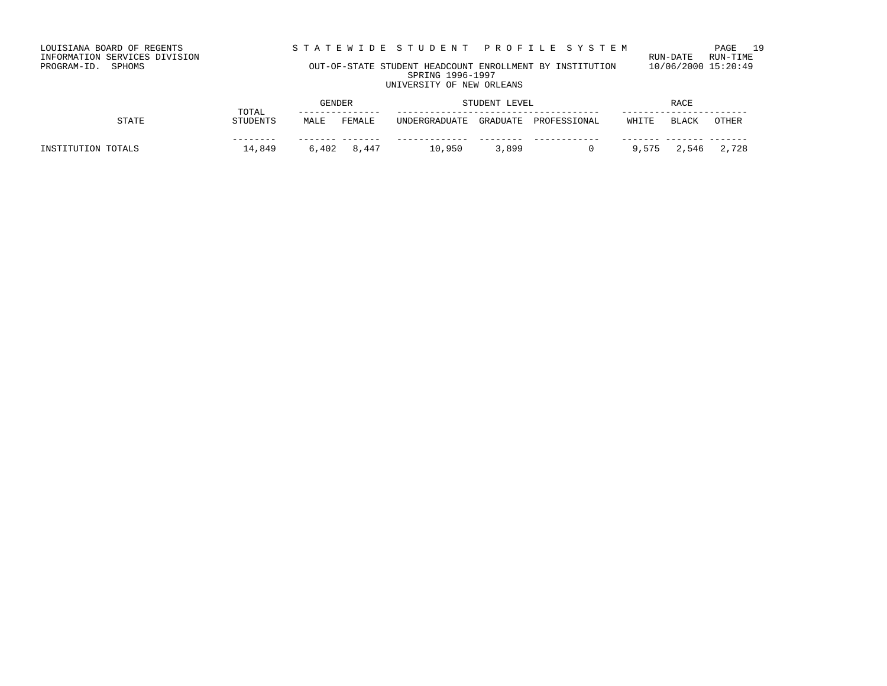LOUISIANA BOARD OF REGENTS STRITEWIDE STUDENT PROFILE SYSTEM PAGE 19<br>INFORMATION SERVICES DIVISION LOUISIANA BOARD OF REGENTS<br>INFORMATION SERVICES DIVISION<br>PROGRAM-ID. SPHOMS

### OUT-OF-STATE STUDENT HEADCOUNT ENROLLMENT BY INSTITUTION 10/06/2000 15:20:49 SPRING 1996-1997 UNIVERSITY OF NEW ORLEANS

| TOTAL<br>STATE<br><b>STUDENTS</b> |        | GENDER |               | STUDENT LEVEL |              | RACE  |       |       |             |
|-----------------------------------|--------|--------|---------------|---------------|--------------|-------|-------|-------|-------------|
|                                   | MALE   | FEMALE | UNDERGRADUATE | GRADUATE      | PROFESSIONAL | WHITE | BLACK | OTHER |             |
| INSTITUTION TOTALS                | 14,849 |        | 6,402 8,447   | 10,950        | 3,899        |       | 9,575 |       | 2,546 2,728 |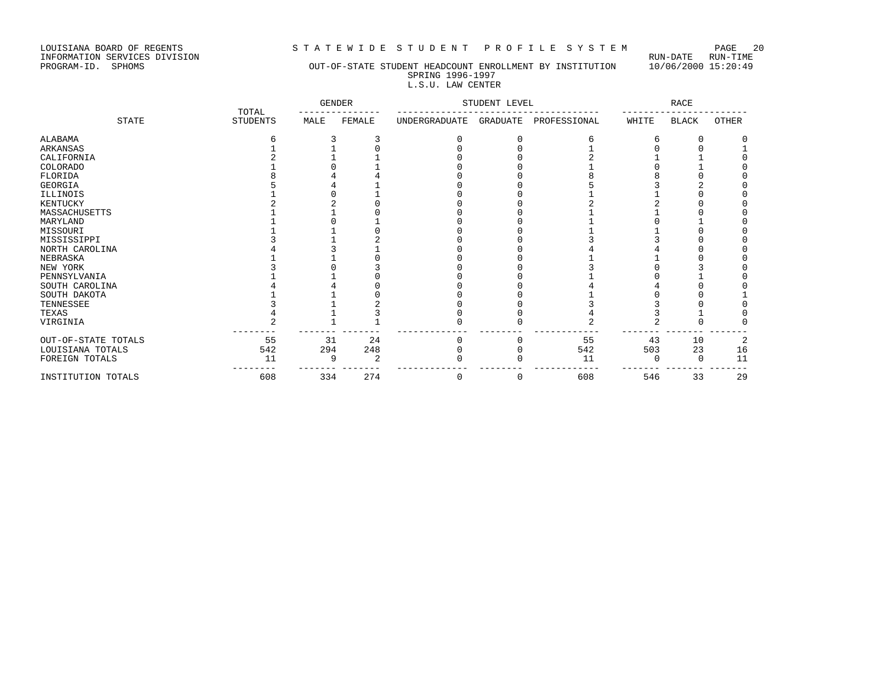LOUISIANA BOARD OF REGENTS STRITEWIDE STUDENT PROFILE SYSTEM PAGE 20<br>INFORMATION SERVICES DIVISION

LOUISIANA BOARD OF REGENTS<br>INFORMATION SERVICES DIVISION<br>PROGRAM-ID. SPHOMS

### OUT-OF-STATE STUDENT HEADCOUNT ENROLLMENT BY INSTITUTION 10/06/2000 15:20:49 SPRING 1996-1997

## L.S.U. LAW CENTER

|                     |                          | <b>GENDER</b> |        |                      | STUDENT LEVEL |              |       | <b>RACE</b>  |       |
|---------------------|--------------------------|---------------|--------|----------------------|---------------|--------------|-------|--------------|-------|
| <b>STATE</b>        | TOTAL<br><b>STUDENTS</b> | MALE          | FEMALE | <b>UNDERGRADUATE</b> | GRADUATE      | PROFESSIONAL | WHITE | <b>BLACK</b> | OTHER |
| ALABAMA             |                          |               |        |                      |               |              |       |              |       |
| ARKANSAS            |                          |               |        |                      |               |              |       |              |       |
| CALIFORNIA          |                          |               |        |                      |               |              |       |              |       |
| COLORADO            |                          |               |        |                      |               |              |       |              |       |
| FLORIDA             |                          |               |        |                      |               |              |       |              |       |
| GEORGIA             |                          |               |        |                      |               |              |       |              |       |
| ILLINOIS            |                          |               |        |                      |               |              |       |              |       |
| KENTUCKY            |                          |               |        |                      |               |              |       |              |       |
| MASSACHUSETTS       |                          |               |        |                      |               |              |       |              |       |
| MARYLAND            |                          |               |        |                      |               |              |       |              |       |
| MISSOURI            |                          |               |        |                      |               |              |       |              |       |
| MISSISSIPPI         |                          |               |        |                      |               |              |       |              |       |
| NORTH CAROLINA      |                          |               |        |                      |               |              |       |              |       |
| NEBRASKA            |                          |               |        |                      |               |              |       |              |       |
| NEW YORK            |                          |               |        |                      |               |              |       |              |       |
| PENNSYLVANIA        |                          |               |        |                      |               |              |       |              |       |
| SOUTH CAROLINA      |                          |               |        |                      |               |              |       |              |       |
| SOUTH DAKOTA        |                          |               |        |                      |               |              |       |              |       |
| TENNESSEE           |                          |               |        |                      |               |              |       |              |       |
| TEXAS               |                          |               |        |                      |               |              |       |              |       |
| VIRGINIA            |                          |               |        |                      |               |              |       |              |       |
| OUT-OF-STATE TOTALS | 55                       | 31            | 24     |                      |               | 55           | 43    | 10           | 2     |
| LOUISIANA TOTALS    | 542                      | 294           | 248    |                      |               | 542          | 503   | 23           | 16    |
| FOREIGN TOTALS      | 11                       | q             | 2      |                      |               | 11           |       | <sup>0</sup> | 11    |
| INSTITUTION TOTALS  | 608                      | 334           | 274    | 0                    | 0             | 608          | 546   | 33           | 29    |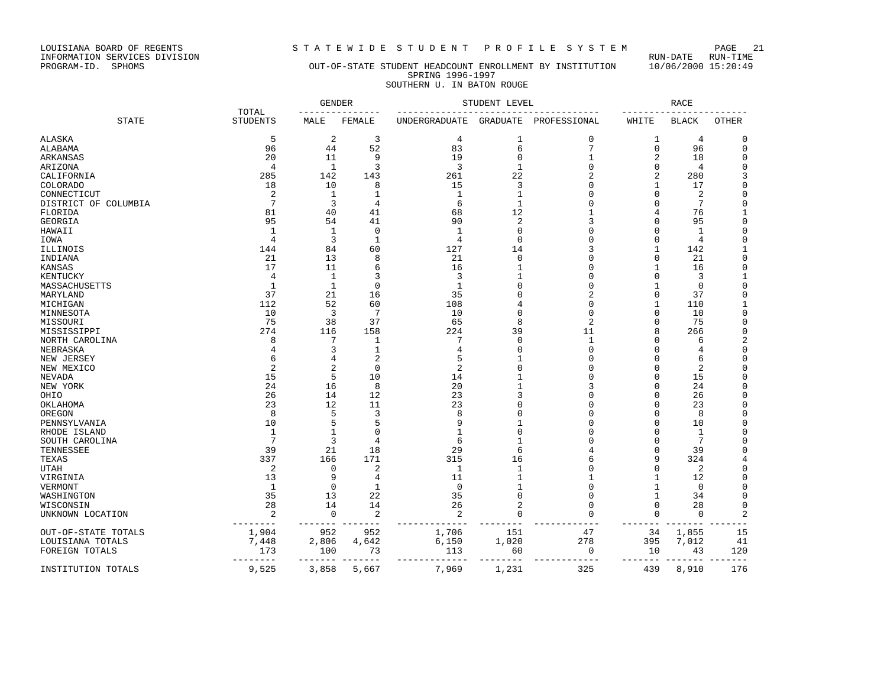LOUISIANA BOARD OF REGENTS STRITEWIDE STUDENT PROFILE SYSTEM PAGE 21<br>INFORMATION SERVICES DIVISION LOUISIANA BOARD OF REGENTS<br>INFORMATION SERVICES DIVISION<br>PROGRAM-ID. SPHOMS

### OUT-OF-STATE STUDENT HEADCOUNT ENROLLMENT BY INSTITUTION 10/06/2000 15:20:49 SPRING 1996-1997 SOUTHERN U. IN BATON ROUGE

|                      |                          | <b>GENDER</b>  |                | STUDENT LEVEL  |                |              | <b>RACE</b> |              |                |
|----------------------|--------------------------|----------------|----------------|----------------|----------------|--------------|-------------|--------------|----------------|
| <b>STATE</b>         | TOTAL<br><b>STUDENTS</b> | MALE           | FEMALE         | UNDERGRADUATE  | GRADUATE       | PROFESSIONAL | WHITE       | <b>BLACK</b> | OTHER          |
| ALASKA               | 5                        | 2              | 3              | 4              | 1              | 0            | 1           | 4            | 0              |
| ALABAMA              | 96                       | 44             | 52             | 83             | 6              | 7            | $\mathbf 0$ | 96           | $\mathbf 0$    |
| ARKANSAS             | 20                       | 11             | 9              | 19             | $\mathbf{0}$   | 1            | 2           | 18           | 0              |
| ARIZONA              | $\overline{4}$           | $\mathbf{1}$   | 3              | 3              | $\mathbf{1}$   | O            | $\Omega$    | 4            | $\Omega$       |
| CALIFORNIA           | 285                      | 142            | 143            | 261            | 22             | 2            | 2           | 280          | 3              |
| COLORADO             | 18                       | 10             | 8              | 15             | 3              | O            | 1           | 17           | $\Omega$       |
| CONNECTICUT          | 2                        | 1              | $\mathbf{1}$   | 1              | 1              | 0            | O           | 2            | $\Omega$       |
| DISTRICT OF COLUMBIA | $7\phantom{.0}$          | 3              | $\overline{4}$ | 6              | $\mathbf{1}$   | O            |             | 7            | $\Omega$       |
| FLORIDA              | 81                       | 40             | 41             | 68             | 12             |              | 4           | 76           |                |
| GEORGIA              | 95                       | 54             | 41             | 90             | $\overline{2}$ | 3            | O           | 95           | $\overline{0}$ |
| HAWAII               | $\mathbf{1}$             | 1              | $\mathbf 0$    | -1             | $\mathbf 0$    | 0            |             | 1            | $\Omega$       |
| IOWA                 | $\overline{4}$           | 3              | $\mathbf{1}$   | 4              | $\Omega$       | O            | O           | 4            | $\Omega$       |
| ILLINOIS             | 144                      | 84             | 60             | 127            | 14             | 3            |             | 142          |                |
| INDIANA              | 21                       | 13             | 8              | 21             | $\Omega$       | O            | O           | 21           | 0              |
| KANSAS               | 17                       | 11             | 6              | 16             |                | U            |             | 16           | $\Omega$       |
| KENTUCKY             | 4                        | 1              | 3              | 3              | 1              | O            | O           | 3            | 1              |
| MASSACHUSETTS        | $\mathbf{1}$             | $\mathbf{1}$   | $\Omega$       | $\mathbf{1}$   | $\Omega$       | O            |             | $\Omega$     | $\Omega$       |
| MARYLAND             | 37                       | 21             | 16             | 35             | n              | 2            | O           | 37           | $\Omega$       |
| MICHIGAN             | 112                      | 52             | 60             | 108            |                | 0            |             | 110          |                |
| MINNESOTA            | 10                       | $\overline{3}$ | 7              | 10             | $\Omega$       | 0            | O           | 10           | $\Omega$       |
| MISSOURI             | 75                       | 38             | 37             | 65             | 8              | 2            | O           | 75           | 0              |
| MISSISSIPPI          | 274                      | 116            | 158            | 224            | 39             | 11           | 8           | 266          | 0              |
| NORTH CAROLINA       | 8                        | 7              | 1              | 7              | $\Omega$       | $\mathbf{1}$ |             | 6            | $\overline{c}$ |
| NEBRASKA             |                          | 3              | 1              | 4              | $\cap$         | $\Omega$     |             | 4            | $\Omega$       |
| NEW JERSEY           | 6                        | 4              | $\overline{c}$ | 5              |                | O            |             | 6            | $\Omega$       |
| NEW MEXICO           | $\overline{2}$           | 2              | $\mathbf 0$    | $\overline{2}$ | $\Omega$       | O            |             | 2            | $\Omega$       |
| <b>NEVADA</b>        | 15                       | 5              | 10             | 14             |                | O            |             | 15           | $\Omega$       |
| NEW YORK             | 24                       | 16             | 8              | 20             |                | 3            | U           | 24           | $\Omega$       |
| OHIO                 | 26                       | 14             | 12             | 23             |                | O            |             | 26           | 0              |
| OKLAHOMA             | 23                       | 12             | 11             | 23             |                | O            | O           | 23           | 0              |
| OREGON               | 8                        | 5              | 3              | 8              | $\cap$         | U            | U           | 8            | $\Omega$       |
| PENNSYLVANIA         | 10                       | 5              | 5              | 9              |                | N            |             | 10           | 0              |
| RHODE ISLAND         | $\mathbf{1}$             | 1              | $\Omega$       |                | $\cap$         | U            | U           | 1            | $\Omega$       |
| SOUTH CAROLINA       | 7                        | 3              | $\overline{4}$ | 6              |                |              |             | 7            | $\Omega$       |
| TENNESSEE            | 39                       | 21             | 18             | 29             | 6              |              | O           | 39           | $\Omega$       |
| TEXAS                | 337                      | 166            | 171            | 315            | 16             | 6            | 9           | 324          |                |
| <b>UTAH</b>          | 2                        | 0              | $\overline{c}$ | 1              | 1              | O            | U           | 2            | $\Omega$       |
| VIRGINIA             | 13                       | 9              | 4              | 11             | 1              |              |             | 12           | $\Omega$       |
| VERMONT              | 1                        | $\mathbf 0$    | $\mathbf{1}$   | $\mathbf 0$    |                | 0            | 1           | 0            | 0              |
| WASHINGTON           | 35                       | 13             | 22             | 35             | $\Omega$       | O            | 1           | 34           | $\Omega$       |
| WISCONSIN            | 28                       | 14             | 14             | 26             | $\overline{2}$ | 0            | 0           | 28           | 0              |
| UNKNOWN LOCATION     | 2                        | 0              | $\overline{c}$ | 2              | $\Omega$       | $\Omega$     | $\Omega$    | $\Omega$     | $\overline{2}$ |
| OUT-OF-STATE TOTALS  | 1,904                    | 952            | 952            | 1,706          | 151            | 47           | 34          | 1,855        | 15             |
| LOUISIANA TOTALS     | 7,448                    | 2,806          | 4,642          | 6,150          | 1,020          | 278          | 395         | 7,012        | 41             |
| FOREIGN TOTALS       | 173                      | 100            | 73             | 113            | 60             | $\mathbf 0$  | 10          | 43           | 120            |
| INSTITUTION TOTALS   | 9,525                    | 3,858          | 5,667          | 7,969          | 1,231          | 325          | 439         | 8,910        | 176            |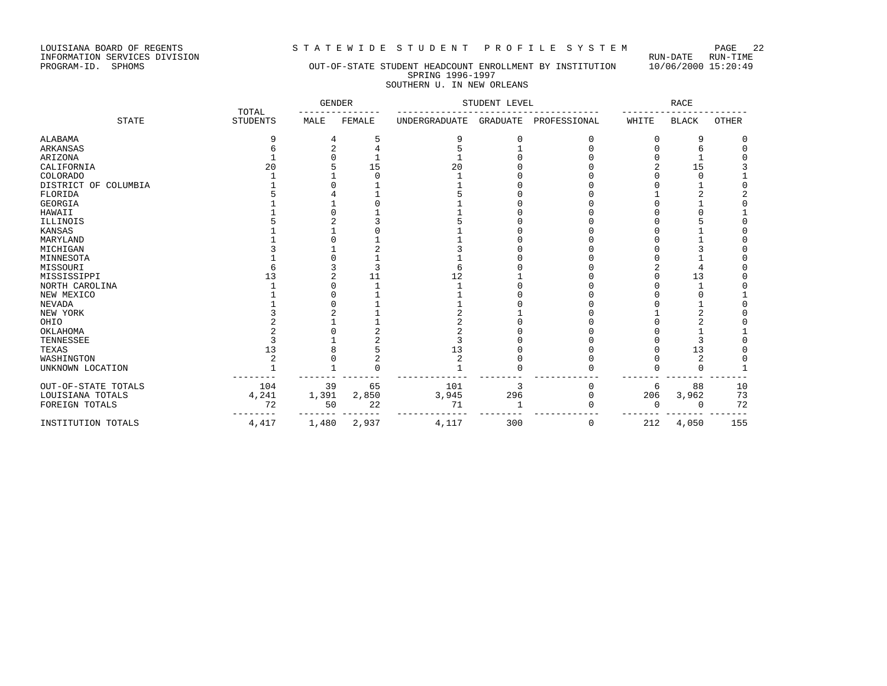LOUISIANA BOARD OF REGENTS STRITEWIDE STUDENT PROFILE SYSTEM PAGE 22<br>INFORMATION SERVICES DIVISION INFORMATION SERVICES DIVISION<br>PROGRAM-ID. SPHOMS

### OUT-OF-STATE STUDENT HEADCOUNT ENROLLMENT BY INSTITUTION 10/06/2000 15:20:49 SPRING 1996-1997 SOUTHERN U. IN NEW ORLEANS

|                      |                          | <b>GENDER</b> |        | STUDENT LEVEL        |                 |              | <b>RACE</b> |              |              |
|----------------------|--------------------------|---------------|--------|----------------------|-----------------|--------------|-------------|--------------|--------------|
| <b>STATE</b>         | TOTAL<br><b>STUDENTS</b> | MALE          | FEMALE | <b>UNDERGRADUATE</b> | <b>GRADUATE</b> | PROFESSIONAL | WHITE       | <b>BLACK</b> | <b>OTHER</b> |
| ALABAMA              | 9                        |               | 5      | 9                    |                 |              | U           | 9            |              |
| ARKANSAS             |                          |               |        |                      |                 |              |             |              |              |
| ARIZONA              |                          |               |        |                      |                 |              |             |              |              |
| CALIFORNIA           | 20                       |               | 15     | 20                   |                 |              |             | 15           |              |
| COLORADO             |                          |               |        |                      |                 |              |             |              |              |
| DISTRICT OF COLUMBIA |                          |               |        |                      |                 |              |             |              |              |
| FLORIDA              |                          |               |        |                      |                 |              |             |              |              |
| <b>GEORGIA</b>       |                          |               |        |                      |                 |              |             |              |              |
| HAWAII               |                          |               |        |                      |                 |              |             |              |              |
| ILLINOIS             |                          |               |        |                      |                 |              |             |              |              |
| KANSAS               |                          |               |        |                      |                 |              |             |              |              |
| MARYLAND             |                          |               |        |                      |                 |              |             |              |              |
| MICHIGAN             |                          |               |        |                      |                 |              |             |              |              |
| MINNESOTA            |                          |               |        |                      |                 |              |             |              |              |
| MISSOURI             |                          |               | 3      | 6                    |                 |              |             |              |              |
| MISSISSIPPI          | 13                       |               | 11     | 12                   |                 |              |             | 13           |              |
| NORTH CAROLINA       |                          |               |        |                      |                 |              |             |              |              |
| NEW MEXICO           |                          |               |        |                      |                 |              |             |              |              |
| NEVADA               |                          |               |        |                      |                 |              |             |              |              |
| NEW YORK             |                          |               |        |                      |                 |              |             |              |              |
| OHIO                 |                          |               |        |                      |                 |              |             |              |              |
| OKLAHOMA             |                          |               |        |                      |                 |              |             |              |              |
| TENNESSEE            |                          |               |        |                      |                 |              |             |              |              |
| TEXAS                | 13                       |               |        | 13                   |                 |              |             | 13           |              |
| WASHINGTON           |                          |               |        | 2                    |                 |              |             | 2            |              |
| UNKNOWN LOCATION     |                          |               |        |                      |                 |              |             | $\Omega$     |              |
| OUT-OF-STATE TOTALS  | 104                      | 39            | 65     | 101                  | 3               |              | 6           | 88           | 10           |
| LOUISIANA TOTALS     | 4,241                    | 1,391         | 2,850  | 3,945                | 296             |              | 206         | 3,962        | 73           |
| FOREIGN TOTALS       | 72                       | 50            | 22     | 71                   |                 |              | $\Omega$    | $\Omega$     | 72           |
| INSTITUTION TOTALS   | $4\,,417$                | 1,480         | 2,937  | 4,117                | 300             | 0            | 212         | 4,050        | 155          |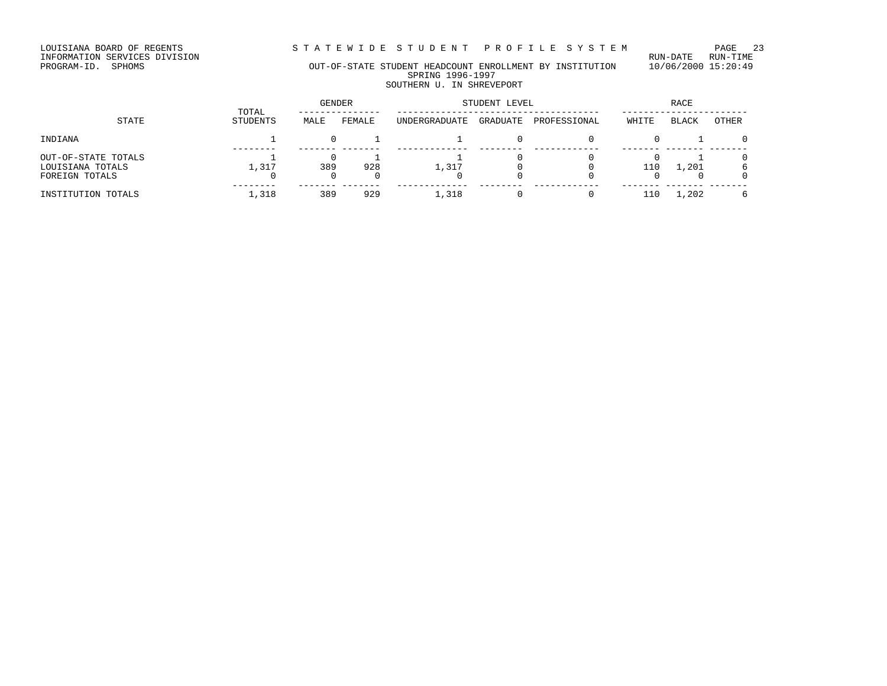STATEWIDE STUDENT PROFILE SYSTEM PAGE 23

LOUISIANA BOARD OF REGENTS<br>INFORMATION SERVICES DIVISION<br>PROGRAM-ID. SPHOMS

### OUT-OF-STATE STUDENT HEADCOUNT ENROLLMENT BY INSTITUTION 10/06/2000 15:20:49 SPRING 1996-1997 SOUTHERN U. IN SHREVEPORT

| STATE                                                     | TOTAL    | GENDER |        | STUDENT LEVEL | <b>RACE</b> |              |       |       |       |
|-----------------------------------------------------------|----------|--------|--------|---------------|-------------|--------------|-------|-------|-------|
|                                                           | STUDENTS | MALE   | FEMALE | UNDERGRADUATE | GRADUATE    | PROFESSIONAL | WHITE | BLACK | OTHER |
| INDIANA                                                   |          |        |        |               |             |              |       |       |       |
| OUT-OF-STATE TOTALS<br>LOUISIANA TOTALS<br>FOREIGN TOTALS | 1,317    | 389    | 928    | 1,317         |             |              | 110   | 1,201 |       |
| INSTITUTION TOTALS                                        | 1,318    | 389    | 929    | 1,318         |             |              | 110   | 1,202 |       |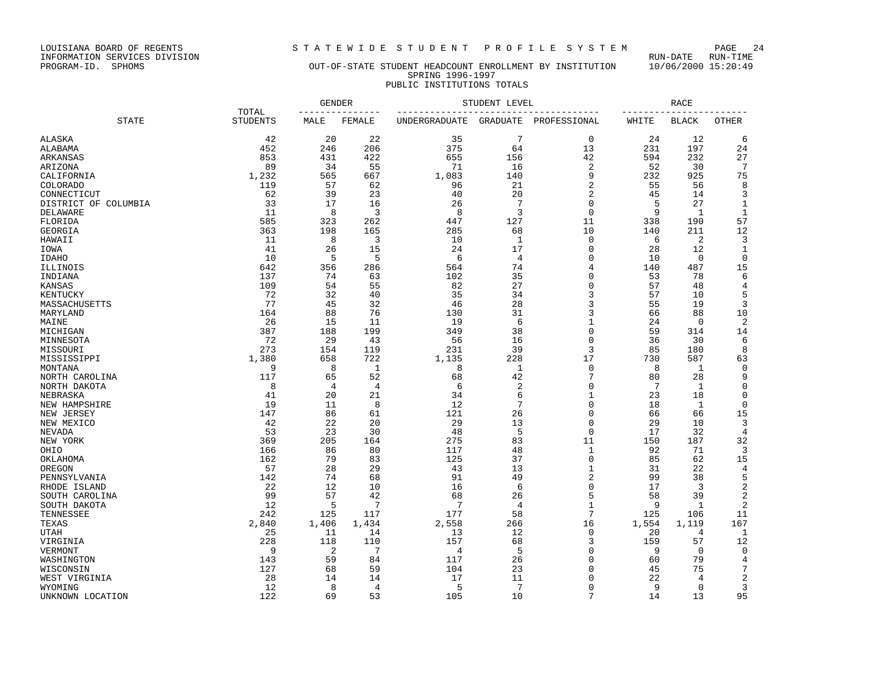LOUISIANA BOARD OF REGENTS STRITEWIDE STUDENT PROFILE SYSTEM PAGE 24 INFORMATION SERVICES DIVISION<br>PROGRAM-ID. SPHOMS

### OUT-OF-STATE STUDENT HEADCOUNT ENROLLMENT BY INSTITUTION 10/06/2000 15:20:49 SPRING 1996-1997 PUBLIC INSTITUTIONS TOTALS

|                      |                          | <b>GENDER</b> |        | STUDENT LEVEL | RACE            |                |       |                |              |
|----------------------|--------------------------|---------------|--------|---------------|-----------------|----------------|-------|----------------|--------------|
| <b>STATE</b>         | TOTAL<br><b>STUDENTS</b> | MALE          | FEMALE | UNDERGRADUATE | <b>GRADUATE</b> | PROFESSIONAL   | WHITE | <b>BLACK</b>   | OTHER        |
|                      |                          |               |        |               |                 |                |       |                |              |
| ALASKA               | 42                       | 20            | 22     | 35            | 7               | 0              | 24    | 12             | 6            |
| ALABAMA              | 452                      | 246           | 206    | 375           | 64              | 13             | 231   | 197            | 24           |
| ARKANSAS             | 853                      | 431           | 422    | 655           | 156             | 42             | 594   | 232            | 27           |
| ARIZONA              | 89                       | 34            | 55     | 71            | 16              | $\overline{2}$ | 52    | 30             | 7            |
| CALIFORNIA           | 1,232                    | 565           | 667    | 1,083         | 140             | 9              | 232   | 925            | 75           |
| <b>COLORADO</b>      | 119                      | 57            | 62     | 96            | 21              | $\overline{2}$ | 55    | 56             | 8            |
| CONNECTICUT          | 62                       | 39            | 23     | 40            | 20              | $\overline{2}$ | 45    | 14             | 3            |
| DISTRICT OF COLUMBIA | 33                       | 17            | 16     | 26            | 7               | $\mathbf 0$    | 5     | 27             | 1            |
| <b>DELAWARE</b>      | 11                       | 8             | 3      | 8             | 3               | $\mathbf 0$    | 9     | $\mathbf{1}$   | $\mathbf{1}$ |
| FLORIDA              | 585                      | 323           | 262    | 447           | 127             | 11             | 338   | 190            | 57           |
| <b>GEORGIA</b>       | 363                      | 198           | 165    | 285           | 68              | 10             | 140   | 211            | 12           |
| HAWAII               | 11                       | 8             | 3      | 10            | -1              | $\mathbf 0$    | 6     | $\overline{2}$ | 3            |
| IOWA                 | 41                       | 26            | 15     | 24            | 17              | $\mathbf 0$    | 28    | 12             | $\mathbf 1$  |
| <b>IDAHO</b>         | 10                       | 5             | 5      | 6             | $\overline{4}$  | $\Omega$       | 10    | $\Omega$       | $\Omega$     |
| ILLINOIS             | 642                      | 356           | 286    | 564           | 74              | 4              | 140   | 487            | 15           |
| INDIANA              | 137                      | 74            | 63     | 102           | 35              | $\Omega$       | 53    | 78             | 6            |
| KANSAS               | 109                      | 54            | 55     | 82            | 27              | $\mathbf 0$    | 57    | 48             | 4            |
| KENTUCKY             | 72                       | 32            | 40     | 35            | 34              | 3              | 57    | 10             | 5            |
| MASSACHUSETTS        | 77                       | 45            | 32     | 46            | 28              | 3              | 55    | 19             | 3            |
| MARYLAND             | 164                      | 88            | 76     | 130           | 31              | 3              | 66    | 88             | 10           |
| MAINE                | 26                       | 15            | 11     | 19            | 6               | $\mathbf{1}$   | 24    | $\mathbf 0$    | 2            |
| MICHIGAN             | 387                      | 188           | 199    | 349           | 38              | 0              | 59    | 314            | 14           |
| MINNESOTA            | 72                       | 29            | 43     | 56            | 16              | $\Omega$       | 36    | 30             | 6            |
| MISSOURI             | 273                      | 154           | 119    | 231           | 39              | 3              | 85    | 180            | 8            |
| MISSISSIPPI          | 1,380                    | 658           | 722    | 1,135         | 228             | 17             | 730   | 587            | 63           |
| MONTANA              | 9                        | 8             | 1      | 8             | $\mathbf{1}$    | $\mathbf 0$    | 8     | 1              | $\mathbf 0$  |
| NORTH CAROLINA       | 117                      | 65            | 52     | 68            | 42              | $\overline{7}$ | 80    | 28             | 9            |
| NORTH DAKOTA         | 8                        | 4             | 4      | 6             | $\overline{2}$  | $\Omega$       | 7     | 1              | 0            |
| NEBRASKA             | 41                       | 20            | 21     | 34            | 6               | $\mathbf{1}$   | 23    | 18             | 0            |
| NEW HAMPSHIRE        | 19                       | 11            | 8      | 12            | 7               | $\Omega$       | 18    | $\mathbf{1}$   | $\mathbf 0$  |
| NEW JERSEY           | 147                      | 86            | 61     | 121           | 26              | $\Omega$       | 66    | 66             | 15           |
| NEW MEXICO           | 42                       | 22            | 20     | 29            | 13              | $\Omega$       | 29    | 10             | 3            |
| <b>NEVADA</b>        | 53                       | 23            | 30     | 48            | 5               | $\Omega$       | 17    | 32             | 4            |
| NEW YORK             | 369                      | 205           | 164    | 275           | 83              | 11             | 150   | 187            | 32           |
| OHIO                 | 166                      | 86            | 80     | 117           | 48              | 1              | 92    | 71             | 3            |
| OKLAHOMA             | 162                      | 79            | 83     | 125           | 37              | $\mathbf 0$    | 85    | 62             | 15           |
| OREGON               | 57                       | 28            | 29     | 43            | 13              | $\mathbf{1}$   | 31    | 22             | 4            |
| PENNSYLVANIA         | 142                      | 74            | 68     | 91            | 49              | $\sqrt{2}$     | 99    | 38             | 5            |
| RHODE ISLAND         | 22                       | 12            | 10     | 16            | 6               | 0              | 17    | 3              | 2            |
| SOUTH CAROLINA       | 99                       | 57            | 42     | 68            | 26              | 5              | 58    | 39             | 2            |
| SOUTH DAKOTA         | 12                       | 5             | 7      | 7             | 4               | $\mathbf{1}$   | 9     | 1              | 2            |
| TENNESSEE            | 242                      | 125           | 117    | 177           | 58              | 7              | 125   | 106            | 11           |
| TEXAS                | 2,840                    | 1,406         | 1,434  | 2,558         | 266             | 16             | 1,554 | 1,119          | 167          |
| <b>UTAH</b>          | 25                       | 11            | 14     | 13            | 12              | $\mathbf 0$    | 20    | $\overline{4}$ | $\mathbf{1}$ |
| VIRGINIA             | 228                      | 118           | 110    | 157           | 68              | 3              | 159   | 57             | 12           |
| VERMONT              | 9                        | 2             | 7      | 4             | 5               | 0              | 9     | $\mathbf 0$    | $\mathbf 0$  |
| WASHINGTON           | 143                      | 59            | 84     | 117           | 26              | $\Omega$       | 60    | 79             | 4            |
| WISCONSIN            | 127                      | 68            | 59     | 104           | 23              | 0              | 45    | 75             | 7            |
| WEST VIRGINIA        | 28                       | 14            | 14     | 17            | 11              | $\Omega$       | 22    | $\overline{4}$ | 2            |
| WYOMING              | 12                       | 8             | 4      | 5             | 7               | $\Omega$       | 9     | $\Omega$       | 3            |
| UNKNOWN LOCATION     | 122                      | 69            | 53     | 105           | 10              | 7              | 14    | 13             | 95           |